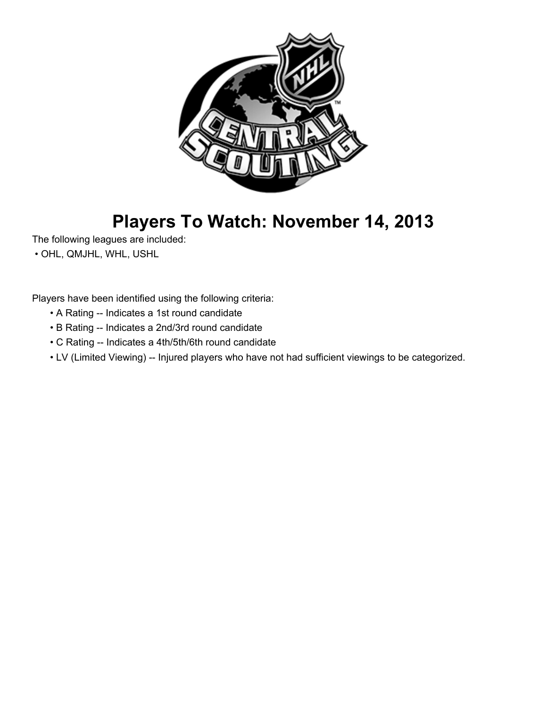

# **Players To Watch: November 14, 2013**

The following leagues are included:

• OHL, QMJHL, WHL, USHL

Players have been identified using the following criteria:

- A Rating -- Indicates a 1st round candidate
- B Rating -- Indicates a 2nd/3rd round candidate
- C Rating -- Indicates a 4th/5th/6th round candidate
- LV (Limited Viewing) -- Injured players who have not had sufficient viewings to be categorized.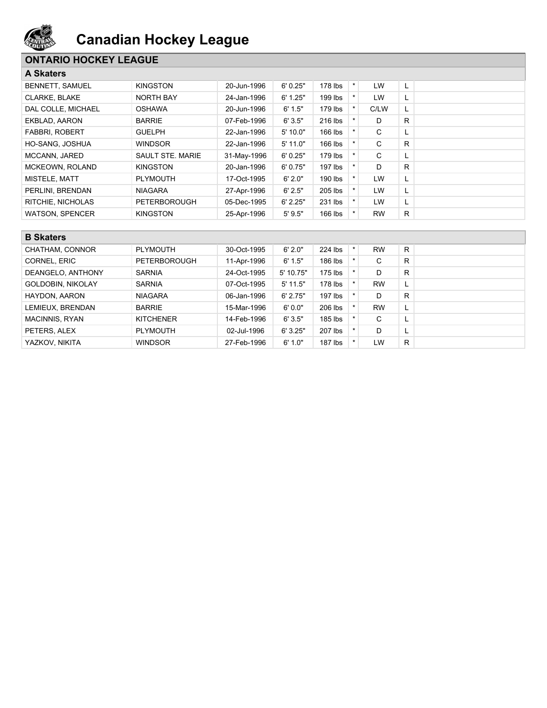

### **ONTARIO HOCKEY LEAGUE**

| <b>A Skaters</b> |
|------------------|
|------------------|

| д экацыя               |                     |             |            |           |         |           |    |
|------------------------|---------------------|-------------|------------|-----------|---------|-----------|----|
| <b>BENNETT, SAMUEL</b> | <b>KINGSTON</b>     | 20-Jun-1996 | 6'0.25"    | $178$ lbs | $\star$ | LW        | L. |
| <b>CLARKE, BLAKE</b>   | <b>NORTH BAY</b>    | 24-Jan-1996 | 6' 1.25"   | 199 lbs   |         | LW        | L. |
| DAL COLLE. MICHAEL     | <b>OSHAWA</b>       | 20-Jun-1996 | 6' 1.5"    | 179 lbs   |         | C/LW      | L. |
| EKBLAD, AARON          | <b>BARRIE</b>       | 07-Feb-1996 | 6'3.5"     | 216 lbs   |         | D         | R. |
| <b>FABBRI, ROBERT</b>  | <b>GUELPH</b>       | 22-Jan-1996 | 5' 10.0"   | $166$ lbs |         | C         | L. |
| HO-SANG, JOSHUA        | <b>WINDSOR</b>      | 22-Jan-1996 | $5'$ 11.0" | $166$ lbs |         | C         | R. |
| MCCANN, JARED          | SAULT STE, MARIE    | 31-May-1996 | 6'0.25"    | $179$ lbs |         | C         |    |
| MCKEOWN, ROLAND        | <b>KINGSTON</b>     | 20-Jan-1996 | 6'0.75"    | $197$ lbs |         | D         | R  |
| MISTELE, MATT          | <b>PLYMOUTH</b>     | 17-Oct-1995 | 6'2.0"     | 190 lbs   | $\star$ | <b>LW</b> | L. |
| PERLINI, BRENDAN       | <b>NIAGARA</b>      | 27-Apr-1996 | 6' 2.5"    | 205 lbs   | $\star$ | LW        | L. |
| RITCHIE, NICHOLAS      | <b>PETERBOROUGH</b> | 05-Dec-1995 | 6' 2.25"   | 231 lbs   | $\star$ | LW        | L. |
| <b>WATSON, SPENCER</b> | <b>KINGSTON</b>     | 25-Apr-1996 | 5'9.5"     | 166 lbs   |         | <b>RW</b> | R. |

| <b>B</b> Skaters         |                     |             |            |           |         |           |    |  |
|--------------------------|---------------------|-------------|------------|-----------|---------|-----------|----|--|
| CHATHAM, CONNOR          | <b>PLYMOUTH</b>     | 30-Oct-1995 | 6'2.0"     | 224 lbs   | $\star$ | <b>RW</b> | R  |  |
| CORNEL, ERIC             | <b>PETERBOROUGH</b> | 11-Apr-1996 | 6' 1.5"    | 186 lbs   |         | С         | R  |  |
| DEANGELO, ANTHONY        | <b>SARNIA</b>       | 24-Oct-1995 | 5' 10.75"  | $175$ lbs |         | D         | R  |  |
| <b>GOLDOBIN, NIKOLAY</b> | <b>SARNIA</b>       | 07-Oct-1995 | $5'$ 11.5" | 178 lbs   |         | <b>RW</b> | ч. |  |
| HAYDON, AARON            | <b>NIAGARA</b>      | 06-Jan-1996 | 6' 2.75"   | $197$ lbs |         | D         | R  |  |
| LEMIEUX, BRENDAN         | <b>BARRIE</b>       | 15-Mar-1996 | 6'0.0"     | 206 lbs   |         | <b>RW</b> | L. |  |
| <b>MACINNIS, RYAN</b>    | <b>KITCHENER</b>    | 14-Feb-1996 | 6'3.5"     | 185 lbs   |         | C         |    |  |
| PETERS, ALEX             | <b>PLYMOUTH</b>     | 02-Jul-1996 | 6'3.25"    | 207 lbs   |         | D         |    |  |
| YAZKOV, NIKITA           | <b>WINDSOR</b>      | 27-Feb-1996 | 6' 1.0"    | $187$ lbs |         | LW.       | R  |  |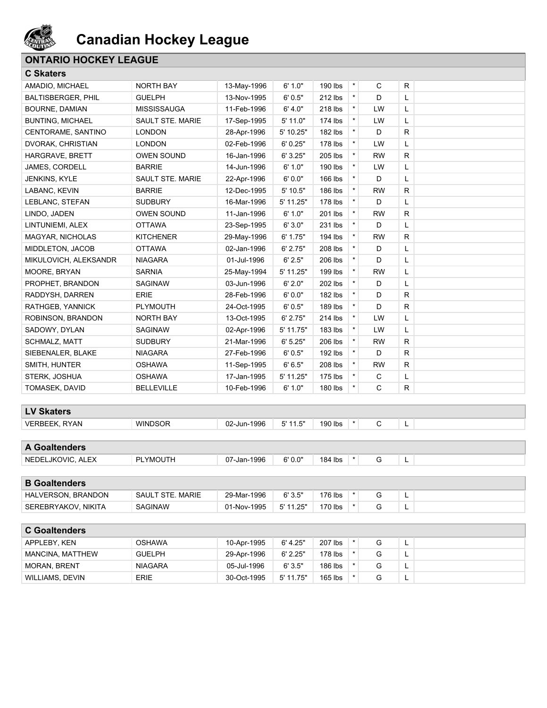

### **ONTARIO HOCKEY LEAGUE**

|  | <b>C Skaters</b> |  |  |
|--|------------------|--|--|
|  | AMADIO, MICHAE   |  |  |

| AMADIO, MICHAEL           | NORTH BAY          | 13-May-1996 | 6' 1.0"   | 190 lbs   | $^\star$ | С         | R |  |
|---------------------------|--------------------|-------------|-----------|-----------|----------|-----------|---|--|
| <b>BALTISBERGER, PHIL</b> | <b>GUELPH</b>      | 13-Nov-1995 | 6' 0.5"   | 212 lbs   | $\star$  | D         | Г |  |
| <b>BOURNE, DAMIAN</b>     | <b>MISSISSAUGA</b> | 11-Feb-1996 | 6' 4.0"   | 218 lbs   | $\star$  | LW        | L |  |
| <b>BUNTING, MICHAEL</b>   | SAULT STE. MARIE   | 17-Sep-1995 | 5' 11.0"  | 174 lbs   | $\star$  | LW        | Г |  |
| CENTORAME, SANTINO        | <b>LONDON</b>      | 28-Apr-1996 | 5' 10.25" | 182 lbs   | $\star$  | D         | R |  |
| DVORAK, CHRISTIAN         | <b>LONDON</b>      | 02-Feb-1996 | 6' 0.25"  | 178 lbs   | $\star$  | LW        | L |  |
| <b>HARGRAVE, BRETT</b>    | <b>OWEN SOUND</b>  | 16-Jan-1996 | 6' 3.25"  | 205 lbs   | $\star$  | <b>RW</b> | R |  |
| JAMES, CORDELL            | <b>BARRIE</b>      | 14-Jun-1996 | 6' 1.0"   | 190 lbs   | $\star$  | LW        | Г |  |
| JENKINS, KYLE             | SAULT STE. MARIE   | 22-Apr-1996 | 6'0.0"    | 166 lbs   | $\star$  | D         | Г |  |
| LABANC, KEVIN             | <b>BARRIE</b>      | 12-Dec-1995 | 5' 10.5"  | 186 lbs   | $\star$  | <b>RW</b> | R |  |
| LEBLANC, STEFAN           | <b>SUDBURY</b>     | 16-Mar-1996 | 5' 11.25" | 178 lbs   | $\star$  | D         | L |  |
| LINDO, JADEN              | OWEN SOUND         | 11-Jan-1996 | 6' 1.0"   | 201 lbs   | $\star$  | <b>RW</b> | R |  |
| LINTUNIEMI, ALEX          | <b>OTTAWA</b>      | 23-Sep-1995 | 6'3.0"    | 231 lbs   | $\star$  | D         | Г |  |
| MAGYAR, NICHOLAS          | <b>KITCHENER</b>   | 29-May-1996 | 6' 1.75"  | 194 lbs   | $\star$  | <b>RW</b> | R |  |
| MIDDLETON, JACOB          | <b>OTTAWA</b>      | 02-Jan-1996 | 6' 2.75"  | 208 lbs   | $\star$  | D         | Г |  |
| MIKULOVICH, ALEKSANDR     | <b>NIAGARA</b>     | 01-Jul-1996 | 6' 2.5"   | 206 lbs   | $\star$  | D         | Г |  |
| MOORE, BRYAN              | <b>SARNIA</b>      | 25-May-1994 | 5' 11.25" | 199 lbs   | $\star$  | <b>RW</b> | L |  |
| PROPHET, BRANDON          | <b>SAGINAW</b>     | 03-Jun-1996 | 6' 2.0"   | 202 lbs   | $\star$  | D         | L |  |
| RADDYSH, DARREN           | <b>ERIE</b>        | 28-Feb-1996 | 6'0.0"    | $182$ lbs | $\star$  | D         | R |  |
| RATHGEB, YANNICK          | <b>PLYMOUTH</b>    | 24-Oct-1995 | 6' 0.5"   | 189 lbs   | $\star$  | D         | R |  |
| ROBINSON, BRANDON         | <b>NORTH BAY</b>   | 13-Oct-1995 | 6' 2.75"  | 214 lbs   | $\star$  | LW        | L |  |
| SADOWY, DYLAN             | SAGINAW            | 02-Apr-1996 | 5' 11.75" | 183 lbs   | $\star$  | LW        | Г |  |
| <b>SCHMALZ, MATT</b>      | <b>SUDBURY</b>     | 21-Mar-1996 | 6' 5.25"  | 206 lbs   | $\star$  | <b>RW</b> | R |  |
| SIEBENALER, BLAKE         | <b>NIAGARA</b>     | 27-Feb-1996 | 6' 0.5"   | 192 lbs   | $\star$  | D         | R |  |
| SMITH, HUNTER             | <b>OSHAWA</b>      | 11-Sep-1995 | 6'6.5"    | 208 lbs   | $\star$  | <b>RW</b> | R |  |
| STERK, JOSHUA             | <b>OSHAWA</b>      | 17-Jan-1995 | 5' 11.25" | 175 lbs   | $\star$  | C         | Г |  |
| TOMASEK, DAVID            | <b>BELLEVILLE</b>  | 10-Feb-1996 | 6' 1.0"   | 180 lbs   |          | C         | R |  |
|                           |                    |             |           |           |          |           |   |  |
| <b>LV Skaters</b>         |                    |             |           |           |          |           |   |  |
| <b>VERBEEK, RYAN</b>      | <b>WINDSOR</b>     | 02-Jun-1996 | 5' 11.5"  | 190 lbs   |          | C         | L |  |
|                           |                    |             |           |           |          |           |   |  |
| <b>A Goaltenders</b>      |                    |             |           |           |          |           |   |  |
| NEDELJKOVIC, ALEX         | <b>PLYMOUTH</b>    | 07-Jan-1996 | 6'0.0"    | 184 lbs   | $^\star$ | G         | L |  |
|                           |                    |             |           |           |          |           |   |  |
| <b>B</b> Goaltenders      |                    |             |           |           |          |           |   |  |

| <b>BRANDON</b><br>HALVERSON. | <b>MARIE</b><br>SAUL | -1996<br>$\sim$<br>29-Mar-1 | 6'3.5" | '76 lbs |  | - |
|------------------------------|----------------------|-----------------------------|--------|---------|--|---|
| NIKITA<br>SEREBRYAKOV.       | <b>SAGINAW</b>       | -1995<br>n٠<br>$J$ I-Nov-11 | つら"    | '70 lbs |  | - |

| <b>C</b> Goaltenders |                |             |           |         |  |          |  |
|----------------------|----------------|-------------|-----------|---------|--|----------|--|
| APPLEBY, KEN         | <b>OSHAWA</b>  | 10-Apr-1995 | 6' 4.25"  | 207 lbs |  | ∽        |  |
| MANCINA, MATTHEW     | <b>GUELPH</b>  | 29-Apr-1996 | 6' 2.25"  | 178 lbs |  | <u>.</u> |  |
| <b>MORAN, BRENT</b>  | <b>NIAGARA</b> | 05-Jul-1996 | 6'3.5"    | 186 lbs |  | -        |  |
| WILLIAMS, DEVIN      | <b>ERIE</b>    | 30-Oct-1995 | 5' 11.75" | 165 lbs |  | ∽        |  |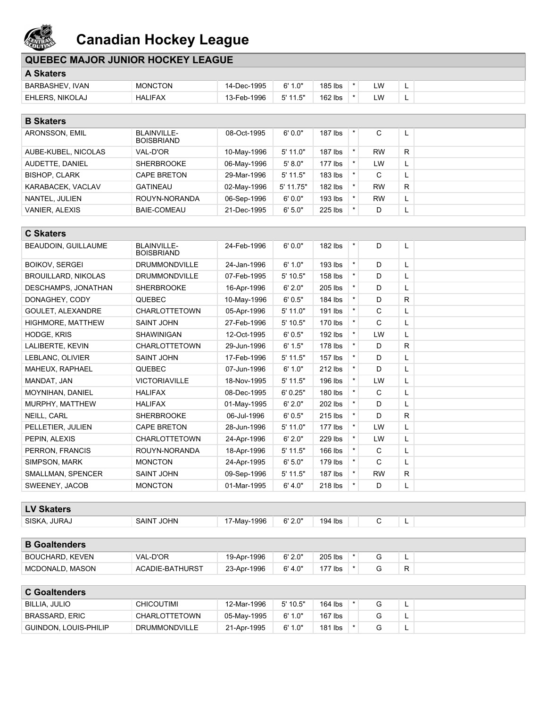

| <b>QUEBEC MAJOR JUNIOR HOCKEY LEAGUE</b> |                |             |            |           |     |   |  |
|------------------------------------------|----------------|-------------|------------|-----------|-----|---|--|
| <b>A Skaters</b>                         |                |             |            |           |     |   |  |
| BARBASHEV, IVAN                          | <b>MONCTON</b> | 14-Dec-1995 | 6'1.0"     | 185 lbs   | LW. | - |  |
| EHLERS, NIKOLAJ                          | HALIFAX        | 13-Feb-1996 | $5'$ 11.5" | $162$ lbs | LW. |   |  |
|                                          |                |             |            |           |     |   |  |
| <b>B</b> Skaters                         |                |             |            |           |     |   |  |

| --------              |                                         |             |            |           |           |          |  |
|-----------------------|-----------------------------------------|-------------|------------|-----------|-----------|----------|--|
| ARONSSON, EMIL        | <b>BLAINVILLE-</b><br><b>BOISBRIAND</b> | 08-Oct-1995 | 6'0.0"     | $187$ lbs | С         | <b>L</b> |  |
| AUBE-KUBEL, NICOLAS   | VAL-D'OR                                | 10-May-1996 | $5'$ 11.0" | 187 lbs   | <b>RW</b> | R        |  |
| AUDETTE, DANIEL       | <b>SHERBROOKE</b>                       | 06-May-1996 | 5' 8.0"    | $177$ lbs | LW        | <u>ь</u> |  |
| <b>BISHOP, CLARK</b>  | <b>CAPE BRETON</b>                      | 29-Mar-1996 | $5'$ 11.5" | 183 lbs   | C         |          |  |
| KARABACEK, VACLAV     | <b>GATINEAU</b>                         | 02-May-1996 | 5' 11.75"  | 182 lbs   | <b>RW</b> | R.       |  |
| NANTEL. JULIEN        | ROUYN-NORANDA                           | 06-Sep-1996 | 6'0.0"     | 193 lbs   | <b>RW</b> | <u>ь</u> |  |
| <b>VANIER, ALEXIS</b> | <b>BAIE-COMEAU</b>                      | 21-Dec-1995 | 6' 5.0"    | 225 lbs   | D         | ட        |  |

| <b>C Skaters</b>           |                                         |             |            |           |          |           |    |  |
|----------------------------|-----------------------------------------|-------------|------------|-----------|----------|-----------|----|--|
| BEAUDOIN, GUILLAUME        | <b>BLAINVILLE-</b><br><b>BOISBRIAND</b> | 24-Feb-1996 | 6'0.0"     | 182 lbs   | $\star$  | D         | L  |  |
| <b>BOIKOV, SERGEI</b>      | <b>DRUMMONDVILLE</b>                    | 24-Jan-1996 | 6' 1.0"    | $193$ lbs | $\star$  | D         | L  |  |
| <b>BROUILLARD, NIKOLAS</b> | <b>DRUMMONDVILLE</b>                    | 07-Feb-1995 | $5'$ 10.5" | 158 lbs   |          | D         | L. |  |
| DESCHAMPS, JONATHAN        | <b>SHERBROOKE</b>                       | 16-Apr-1996 | 6' 2.0"    | 205 lbs   | $\star$  | D         | L  |  |
| DONAGHEY, CODY             | QUEBEC                                  | 10-May-1996 | 6'0.5"     | 184 lbs   |          | D         | R  |  |
| GOULET, ALEXANDRE          | <b>CHARLOTTETOWN</b>                    | 05-Apr-1996 | 5' 11.0"   | 191 lbs   |          | C         | L. |  |
| HIGHMORE, MATTHEW          | <b>SAINT JOHN</b>                       | 27-Feb-1996 | $5'$ 10.5" | 170 lbs   | $\star$  | C         | L  |  |
| <b>HODGE, KRIS</b>         | <b>SHAWINIGAN</b>                       | 12-Oct-1995 | 6'0.5"     | 192 lbs   |          | LW        | L. |  |
| LALIBERTE, KEVIN           | <b>CHARLOTTETOWN</b>                    | 29-Jun-1996 | 6' 1.5"    | $178$ lbs |          | D.        | R  |  |
| LEBLANC, OLIVIER           | <b>SAINT JOHN</b>                       | 17-Feb-1996 | $5'$ 11.5" | 157 lbs   | $\star$  | D         | L  |  |
| MAHEUX, RAPHAEL            | QUEBEC                                  | 07-Jun-1996 | 6' 1.0"    | 212 lbs   |          | D         | L  |  |
| MANDAT, JAN                | <b>VICTORIAVILLE</b>                    | 18-Nov-1995 | $5'$ 11.5" | 196 lbs   | $\star$  | LW        | L. |  |
| <b>MOYNIHAN, DANIEL</b>    | <b>HALIFAX</b>                          | 08-Dec-1995 | 6'0.25"    | 180 lbs   | $\star$  | C         | L. |  |
| MURPHY, MATTHEW            | <b>HALIFAX</b>                          | 01-May-1995 | 6' 2.0"    | 202 lbs   |          | D         | L. |  |
| NEILL, CARL                | <b>SHERBROOKE</b>                       | 06-Jul-1996 | 6'0.5"     | 215 lbs   | $\star$  | D         | R  |  |
| PELLETIER, JULIEN          | <b>CAPE BRETON</b>                      | 28-Jun-1996 | $5'$ 11.0" | $177$ lbs | $^\star$ | LW        | L  |  |
| PEPIN, ALEXIS              | <b>CHARLOTTETOWN</b>                    | 24-Apr-1996 | 6' 2.0"    | 229 lbs   |          | LW        | L  |  |
| PERRON, FRANCIS            | ROUYN-NORANDA                           | 18-Apr-1996 | $5'$ 11.5" | $166$ lbs |          | C         | L. |  |
| SIMPSON, MARK              | <b>MONCTON</b>                          | 24-Apr-1995 | 6' 5.0"    | $179$ lbs | $^\star$ | C         | L  |  |
| SMALLMAN, SPENCER          | <b>SAINT JOHN</b>                       | 09-Sep-1996 | $5'$ 11.5" | $187$ lbs | $\star$  | <b>RW</b> | R. |  |
| SWEENEY, JACOB             | <b>MONCTON</b>                          | 01-Mar-1995 | 6' 4.0"    | 218 lbs   | $^\star$ | D         | L. |  |

| <b>LV Skaters</b>     |                      |                  |                          |         |   |  |
|-----------------------|----------------------|------------------|--------------------------|---------|---|--|
| JURA.<br><b>SISKA</b> | <b>JOHN</b><br>SAINT | $-1996$<br>-May- | 6' 2.0"<br>$\sim$ $\sim$ | 194 lbs | - |  |
|                       |                      |                  |                          |         |   |  |

| <b>B</b> Goaltenders |                 |             |         |         |  |   |  |
|----------------------|-----------------|-------------|---------|---------|--|---|--|
| BOUCHARD, KEVEN      | VAL-D'OR        | 19-Apr-1996 | 6'2.0"  | 205 lbs |  | - |  |
| MCDONALD, MASON      | ACADIE-BATHURST | 23-Apr-1996 | 6' 4.0" | 177 lbs |  |   |  |

| <b>C</b> Goaltenders  |                      |             |            |           |  |  |   |  |  |  |
|-----------------------|----------------------|-------------|------------|-----------|--|--|---|--|--|--|
| BILLIA, JULIO         | <b>CHICOUTIMI</b>    | 12-Mar-1996 | $5'$ 10.5" | 164 lbs   |  |  | ∽ |  |  |  |
| BRASSARD, ERIC        | <b>CHARLOTTETOWN</b> | 05-May-1995 | 6'1.0"     | $167$ lbs |  |  | ∽ |  |  |  |
| GUINDON, LOUIS-PHILIP | <b>DRUMMONDVILLE</b> | 21-Apr-1995 | 6' 1.0"    | 181 lbs   |  |  | ∽ |  |  |  |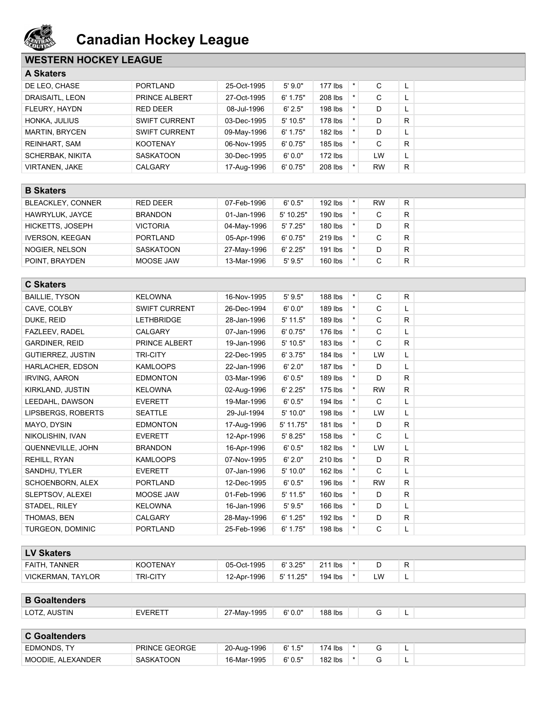

## **WESTERN HOCKEY LEAGUE**

| <b>A Skaters</b>      |                      |             |            |           |         |           |    |  |
|-----------------------|----------------------|-------------|------------|-----------|---------|-----------|----|--|
| DE LEO, CHASE         | <b>PORTLAND</b>      | 25-Oct-1995 | 5'9.0"     | $177$ lbs | $\star$ | C         |    |  |
| DRAISAITL, LEON       | PRINCE ALBERT        | 27-Oct-1995 | 6' 1.75"   | 208 lbs   |         | С         | ш. |  |
| FLEURY, HAYDN         | RED DEER             | 08-Jul-1996 | 6'2.5"     | 198 lbs   |         | D         |    |  |
| HONKA, JULIUS         | <b>SWIFT CURRENT</b> | 03-Dec-1995 | $5'$ 10.5" | 178 lbs   |         | D         | R. |  |
| <b>MARTIN, BRYCEN</b> | <b>SWIFT CURRENT</b> | 09-May-1996 | 6' 1.75"   | 182 lbs   |         | D         | ┕  |  |
| <b>REINHART, SAM</b>  | <b>KOOTENAY</b>      | 06-Nov-1995 | 6'0.75"    | 185 lbs   |         | C         | R. |  |
| SCHERBAK, NIKITA      | <b>SASKATOON</b>     | 30-Dec-1995 | 6'0.0"     | $172$ lbs |         | LW        | L. |  |
| <b>VIRTANEN, JAKE</b> | <b>CALGARY</b>       | 17-Aug-1996 | 6'0.75"    | 208 lbs   |         | <b>RW</b> | R. |  |

| --------                 |                  |             |           |           |           |    |  |
|--------------------------|------------------|-------------|-----------|-----------|-----------|----|--|
| <b>BLEACKLEY, CONNER</b> | <b>RED DEER</b>  | 07-Feb-1996 | 6'0.5"    | 192 lbs   | <b>RW</b> | R  |  |
| HAWRYLUK, JAYCE          | <b>BRANDON</b>   | 01-Jan-1996 | 5' 10.25" | $190$ lbs |           | R. |  |
| HICKETTS, JOSEPH         | <b>VICTORIA</b>  | 04-May-1996 | 5'7.25"   | 180 lbs   |           | R  |  |
| <b>IVERSON, KEEGAN</b>   | <b>PORTLAND</b>  | 05-Apr-1996 | 6'0.75"   | $219$ lbs |           | R  |  |
| NOGIER, NELSON           | <b>SASKATOON</b> | 27-May-1996 | 6' 2.25"  | $191$ lbs |           | R  |  |
| POINT, BRAYDEN           | MOOSE JAW        | 13-Mar-1996 | 5'9.5"    | 160 lbs   | ັ         | R  |  |

| <b>C Skaters</b>         |                      |             |            |           |         |              |    |  |
|--------------------------|----------------------|-------------|------------|-----------|---------|--------------|----|--|
| <b>BAILLIE, TYSON</b>    | <b>KELOWNA</b>       | 16-Nov-1995 | 5'9.5"     | 188 lbs   | $\star$ | C            | R. |  |
| CAVE, COLBY              | <b>SWIFT CURRENT</b> | 26-Dec-1994 | 6'0.0"     | 189 lbs   |         | C            | L  |  |
| DUKE, REID               | <b>LETHBRIDGE</b>    | 28-Jan-1996 | $5'$ 11.5" | 189 lbs   |         | C            | R. |  |
| FAZLEEV, RADEL           | <b>CALGARY</b>       | 07-Jan-1996 | 6'0.75"    | 176 lbs   |         | C            | L. |  |
| <b>GARDINER, REID</b>    | PRINCE ALBERT        | 19-Jan-1996 | $5'$ 10.5" | 183 lbs   |         | C            | R  |  |
| <b>GUTIERREZ, JUSTIN</b> | <b>TRI-CITY</b>      | 22-Dec-1995 | 6'3.75"    | 184 lbs   |         | LW           | L. |  |
| HARLACHER, EDSON         | <b>KAMLOOPS</b>      | 22-Jan-1996 | 6' 2.0"    | $187$ lbs |         | D            | L. |  |
| <b>IRVING, AARON</b>     | <b>EDMONTON</b>      | 03-Mar-1996 | 6'0.5"     | 189 lbs   | $\star$ | D            | R. |  |
| KIRKLAND, JUSTIN         | <b>KELOWNA</b>       | 02-Aug-1996 | 6' 2.25"   | $175$ lbs |         | <b>RW</b>    | R  |  |
| LEEDAHL, DAWSON          | <b>EVERETT</b>       | 19-Mar-1996 | 6'0.5"     | 194 lbs   |         | C            | L. |  |
| LIPSBERGS, ROBERTS       | <b>SEATTLE</b>       | 29-Jul-1994 | 5' 10.0"   | 198 lbs   |         | LW           | L. |  |
| MAYO, DYSIN              | <b>EDMONTON</b>      | 17-Aug-1996 | 5' 11.75"  | 181 lbs   | $\star$ | D            | R  |  |
| NIKOLISHIN, IVAN         | <b>EVERETT</b>       | 12-Apr-1996 | 5' 8.25"   | 158 lbs   |         | $\mathsf{C}$ | L. |  |
| QUENNEVILLE, JOHN        | <b>BRANDON</b>       | 16-Apr-1996 | 6'0.5"     | 182 lbs   |         | LW           | L. |  |
| REHILL, RYAN             | <b>KAMLOOPS</b>      | 07-Nov-1995 | 6' 2.0"    | 210 lbs   | $\star$ | D            | R  |  |
| SANDHU, TYLER            | <b>EVERETT</b>       | 07-Jan-1996 | 5' 10.0"   | 162 lbs   |         | C            | L  |  |
| SCHOENBORN, ALEX         | <b>PORTLAND</b>      | 12-Dec-1995 | 6'0.5"     | 196 lbs   |         | <b>RW</b>    | R. |  |
| SLEPTSOV, ALEXEI         | MOOSE JAW            | 01-Feb-1996 | $5'$ 11.5" | 160 lbs   |         | D            | R. |  |
| STADEL, RILEY            | <b>KELOWNA</b>       | 16-Jan-1996 | 5'9.5"     | $166$ lbs |         | D            | L  |  |
| THOMAS, BEN              | <b>CALGARY</b>       | 28-May-1996 | 6' 1.25"   | 192 lbs   |         | D            | R  |  |
| <b>TURGEON, DOMINIC</b>  | <b>PORTLAND</b>      | 25-Feb-1996 | 6' 1.75"   | 198 lbs   | $\star$ | C            | L  |  |

| <b>LV Skaters</b>        |                 |             |           |         |    |          |  |
|--------------------------|-----------------|-------------|-----------|---------|----|----------|--|
| FAITH, TANNER            | <b>KOOTENAY</b> | 05-Oct-1995 | 6'3.25"   | 211 lbs |    | R        |  |
| <b>VICKERMAN, TAYLOR</b> | <b>TRI-CITY</b> | 12-Apr-1996 | 5' 11.25" | 194 lbs | LW | <u>.</u> |  |

| <b>B</b> Goaltenders |  |
|----------------------|--|
|                      |  |

|  | LOTZ.<br>AUSTIN | <b>EVERETT</b> | -May-1995<br>$\sim$ | 6' 0.0" | 188 lbs<br>. |  |  | - |
|--|-----------------|----------------|---------------------|---------|--------------|--|--|---|
|--|-----------------|----------------|---------------------|---------|--------------|--|--|---|

| <b>C</b> Goaltenders |                  |             |         |           |  |  |  |  |  |  |
|----------------------|------------------|-------------|---------|-----------|--|--|--|--|--|--|
| EDMONDS. TY          | PRINCE GEORGE    | 20-Aug-1996 | 6' 1.5" | $174$ lbs |  |  |  |  |  |  |
| MOODIE. ALEXANDER    | <b>SASKATOON</b> | 16-Mar-1995 | 6'0.5"  | $182$ lbs |  |  |  |  |  |  |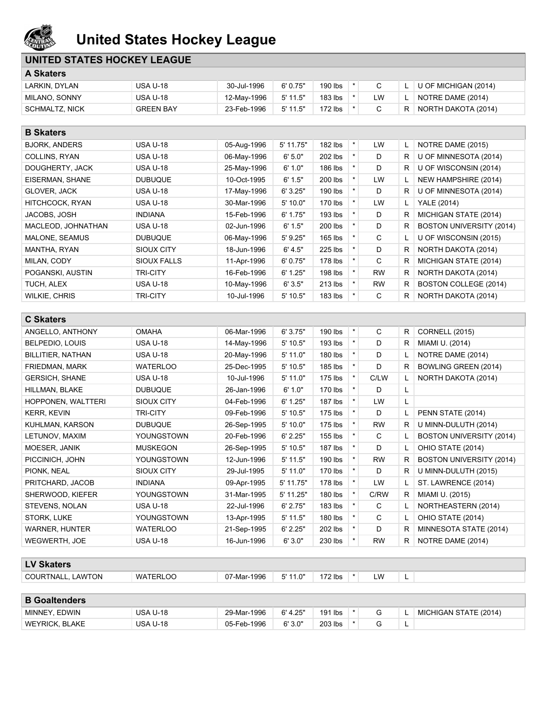

# **United States Hockey League**

### **UNITED STATES HOCKEY LEAGUE**

| <b>A Skaters</b>      |                  |             |            |         |    |    |                      |
|-----------------------|------------------|-------------|------------|---------|----|----|----------------------|
| LARKIN, DYLAN         | <b>USA U-18</b>  | 30-Jul-1996 | 6'0.75"    | 190 lbs |    |    | U OF MICHIGAN (2014) |
| MILANO, SONNY         | <b>USA U-18</b>  | 12-May-1996 | 5' 11.5"   | 183 lbs | LW |    | NOTRE DAME (2014)    |
| <b>SCHMALTZ, NICK</b> | <b>GREEN BAY</b> | 23-Feb-1996 | $5'$ 11.5" | 172 lbs |    | R. | NORTH DAKOTA (2014)  |

| <b>B</b> Skaters     |                    |             |             |           |         |           |    |                                 |
|----------------------|--------------------|-------------|-------------|-----------|---------|-----------|----|---------------------------------|
| <b>BJORK, ANDERS</b> | <b>USA U-18</b>    | 05-Aug-1996 | $5'$ 11.75" | 182 lbs   | $\star$ | <b>LW</b> |    | NOTRE DAME (2015)               |
| COLLINS, RYAN        | <b>USA U-18</b>    | 06-May-1996 | 6' 5.0"     | 202 lbs   |         | D         | R  | U OF MINNESOTA (2014)           |
| DOUGHERTY, JACK      | <b>USA U-18</b>    | 25-May-1996 | 6' 1.0"     | 186 lbs   |         | D         | R. | U OF WISCONSIN (2014)           |
| EISERMAN, SHANE      | <b>DUBUQUE</b>     | 10-Oct-1995 | 6' 1.5"     | 200 lbs   |         | <b>LW</b> |    | NEW HAMPSHIRE (2014)            |
| GLOVER, JACK         | <b>USA U-18</b>    | 17-May-1996 | 6'3.25"     | 190 lbs   | $\star$ | D         | R  | U OF MINNESOTA (2014)           |
| HITCHCOCK, RYAN      | <b>USA U-18</b>    | 30-Mar-1996 | 5'10.0"     | 170 lbs   |         | LW        |    | <b>YALE (2014)</b>              |
| JACOBS, JOSH         | <b>INDIANA</b>     | 15-Feb-1996 | 6' 1.75"    | 193 lbs   | $\star$ | D         | R  | MICHIGAN STATE (2014)           |
| MACLEOD, JOHNATHAN   | <b>USA U-18</b>    | 02-Jun-1996 | 6' 1.5"     | 200 lbs   |         | D         | R  | <b>BOSTON UNIVERSITY (2014)</b> |
| MALONE, SEAMUS       | <b>DUBUQUE</b>     | 06-May-1996 | $5'$ 9.25"  | 165 lbs   | $\star$ | C         |    | U OF WISCONSIN (2015)           |
| MANTHA, RYAN         | SIOUX CITY         | 18-Jun-1996 | 6' 4.5"     | 225 lbs   | $\star$ | D         | R  | NORTH DAKOTA (2014)             |
| MILAN, CODY          | <b>SIOUX FALLS</b> | 11-Apr-1996 | 6'0.75"     | 178 lbs   |         | C         | R  | MICHIGAN STATE (2014)           |
| POGANSKI, AUSTIN     | <b>TRI-CITY</b>    | 16-Feb-1996 | 6' 1.25"    | 198 lbs   | $\star$ | <b>RW</b> | R  | NORTH DAKOTA (2014)             |
| TUCH, ALEX           | <b>USA U-18</b>    | 10-May-1996 | 6'3.5"      | 213 lbs   |         | <b>RW</b> | R. | <b>BOSTON COLLEGE (2014)</b>    |
| <b>WILKIE, CHRIS</b> | <b>TRI-CITY</b>    | 10-Jul-1996 | $5'$ 10.5"  | $183$ lbs |         | С         | R. | NORTH DAKOTA (2014)             |

| <b>C Skaters</b>      |                   |             |            |           |          |           |    |                          |
|-----------------------|-------------------|-------------|------------|-----------|----------|-----------|----|--------------------------|
| ANGELLO, ANTHONY      | <b>OMAHA</b>      | 06-Mar-1996 | 6'3.75"    | 190 lbs   | $\ast$   | C         | R  | <b>CORNELL (2015)</b>    |
| BELPEDIO, LOUIS       | <b>USA U-18</b>   | 14-May-1996 | 5' 10.5"   | 193 lbs   | $\star$  | D         | R  | MIAMI U. (2014)          |
| BILLITIER, NATHAN     | <b>USA U-18</b>   | 20-May-1996 | $5'$ 11.0" | 180 lbs   | $\star$  | D         |    | NOTRE DAME (2014)        |
| <b>FRIEDMAN, MARK</b> | <b>WATERLOO</b>   | 25-Dec-1995 | $5'$ 10.5" | 185 lbs   | $^\star$ | D         | R. | BOWLING GREEN (2014)     |
| <b>GERSICH, SHANE</b> | <b>USA U-18</b>   | 10-Jul-1996 | $5'$ 11.0" | 175 lbs   | $\star$  | C/LW      |    | NORTH DAKOTA (2014)      |
| HILLMAN, BLAKE        | <b>DUBUQUE</b>    | 26-Jan-1996 | 6' 1.0"    | 170 lbs   | $\star$  | D         | L. |                          |
| HOPPONEN, WALTTERI    | SIOUX CITY        | 04-Feb-1996 | 6' 1.25"   | $187$ lbs |          | LW        | L. |                          |
| <b>KERR, KEVIN</b>    | <b>TRI-CITY</b>   | 09-Feb-1996 | 5' 10.5"   | 175 lbs   | $\star$  | D         |    | PENN STATE (2014)        |
| KUHLMAN, KARSON       | <b>DUBUQUE</b>    | 26-Sep-1995 | 5'10.0"    | 175 lbs   | $\star$  | <b>RW</b> | R. | U MINN-DULUTH (2014)     |
| LETUNOV, MAXIM        | YOUNGSTOWN        | 20-Feb-1996 | 6' 2.25"   | 155 lbs   | $\star$  | C         |    | BOSTON UNIVERSITY (2014) |
| MOESER, JANIK         | <b>MUSKEGON</b>   | 26-Sep-1995 | 5' 10.5"   | $187$ lbs | $^\star$ | D         |    | OHIO STATE (2014)        |
| PICCINICH, JOHN       | <b>YOUNGSTOWN</b> | 12-Jun-1996 | $5'$ 11.5" | 190 lbs   |          | <b>RW</b> | R  | BOSTON UNIVERSITY (2014) |
| PIONK, NEAL           | SIOUX CITY        | 29-Jul-1995 | 5' 11.0"   | 170 lbs   | $\star$  | D         | R  | U MINN-DULUTH (2015)     |
| PRITCHARD, JACOB      | <b>INDIANA</b>    | 09-Apr-1995 | 5' 11.75"  | 178 lbs   |          | <b>LW</b> |    | ST. LAWRENCE (2014)      |
| SHERWOOD, KIEFER      | YOUNGSTOWN        | 31-Mar-1995 | 5' 11.25"  | 180 lbs   |          | C/RW      | R  | MIAMI U. (2015)          |
| STEVENS, NOLAN        | <b>USA U-18</b>   | 22-Jul-1996 | 6' 2.75"   | $183$ lbs | $\star$  | C         |    | NORTHEASTERN (2014)      |
| STORK, LUKE           | YOUNGSTOWN        | 13-Apr-1995 | $5'$ 11.5" | 180 lbs   | $\star$  | C         |    | OHIO STATE (2014)        |
| <b>WARNER, HUNTER</b> | <b>WATERLOO</b>   | 21-Sep-1995 | 6' 2.25"   | 202 lbs   | $\star$  | D         | R. | MINNESOTA STATE (2014)   |
| WEGWERTH, JOE         | <b>USA U-18</b>   | 16-Jun-1996 | 6'3.0"     | 230 lbs   |          | RW        | R. | NOTRE DAME (2014)        |

#### **LV Skaters**

- COURTNALL, LAWTON WATERLOO 07-Mar-1996 5'11.0" 172 lbs \* LW L
	-
- 

| <b>B</b> Goaltenders |          |             |          |         |  |                       |
|----------------------|----------|-------------|----------|---------|--|-----------------------|
| MINNEY, EDWIN        | USA U-18 | 29-Mar-1996 | 6' 4.25" | 191 lbs |  | MICHIGAN STATE (2014) |
| WEYRICK, BLAKE       | USA U-18 | 05-Feb-1996 | 6'3.0"   | 203 lbs |  |                       |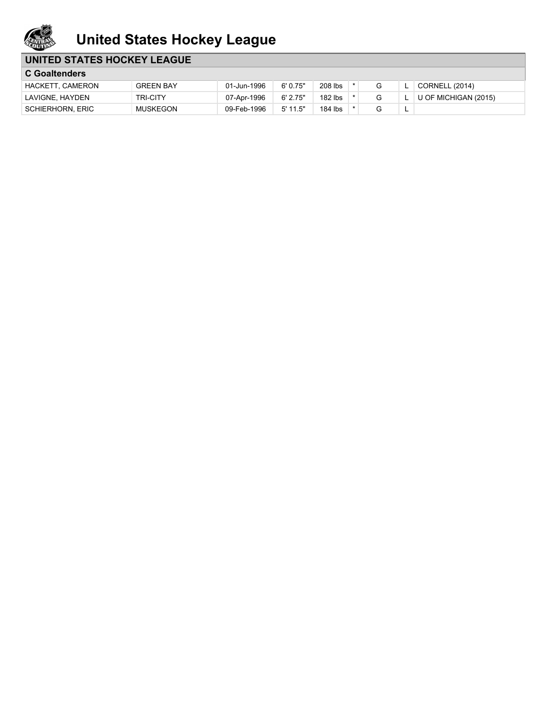

# **United States Hockey League**

### **UNITED STATES HOCKEY LEAGUE**

| <b>C</b> Goaltenders    |                  |             |            |         |  |   |                       |
|-------------------------|------------------|-------------|------------|---------|--|---|-----------------------|
| HACKETT, CAMERON        | <b>GREEN BAY</b> | 01-Jun-1996 | 6'0.75"    | 208 lbs |  |   | <b>CORNELL (2014)</b> |
| LAVIGNE, HAYDEN         | <b>TRI-CITY</b>  | 07-Apr-1996 | $6'$ 2.75" | 182 lbs |  |   | U OF MICHIGAN (2015)  |
| <b>SCHIERHORN, ERIC</b> | <b>MUSKEGON</b>  | 09-Feb-1996 | $5'$ 11.5" | 184 lbs |  | - |                       |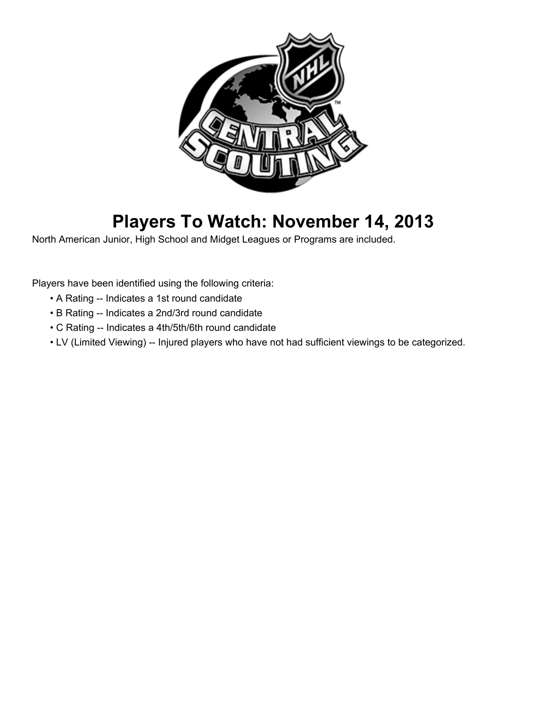

# **Players To Watch: November 14, 2013**

North American Junior, High School and Midget Leagues or Programs are included.

Players have been identified using the following criteria:

- A Rating -- Indicates a 1st round candidate
- B Rating -- Indicates a 2nd/3rd round candidate
- C Rating -- Indicates a 4th/5th/6th round candidate
- LV (Limited Viewing) -- Injured players who have not had sufficient viewings to be categorized.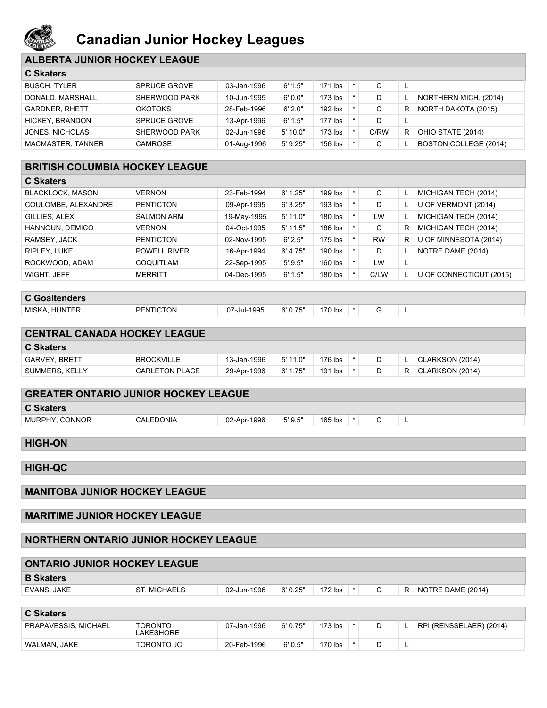

# **Canadian Junior Hockey Leagues**

### **ALBERTA JUNIOR HOCKEY LEAGUE**

| <b>C Skaters</b>       |                     |             |            |           |      |          |                       |
|------------------------|---------------------|-------------|------------|-----------|------|----------|-----------------------|
| <b>BUSCH, TYLER</b>    | <b>SPRUCE GROVE</b> | 03-Jan-1996 | 6' 1.5"    | 171 lbs   | C    |          |                       |
| DONALD, MARSHALL       | SHERWOOD PARK       | 10-Jun-1995 | 6'0.0"     | $173$ lbs | D    |          | NORTHERN MICH. (2014) |
| <b>GARDNER, RHETT</b>  | <b>OKOTOKS</b>      | 28-Feb-1996 | 6'2.0"     | $192$ lbs | C    | R        | NORTH DAKOTA (2015)   |
| <b>HICKEY, BRANDON</b> | <b>SPRUCE GROVE</b> | 13-Apr-1996 | 6' 1.5"    | $177$ lbs | D    | <b>L</b> |                       |
| JONES, NICHOLAS        | SHERWOOD PARK       | 02-Jun-1996 | 5'10.0"    | $173$ lbs | C/RW | R.       | OHIO STATE (2014)     |
| MACMASTER, TANNER      | CAMROSE             | 01-Aug-1996 | $5'$ 9.25" | $156$ lbs | С    |          | BOSTON COLLEGE (2014) |

#### **BRITISH COLUMBIA HOCKEY LEAGUE**

| <b>C Skaters</b>        |                     |             |            |         |         |           |    |                         |
|-------------------------|---------------------|-------------|------------|---------|---------|-----------|----|-------------------------|
| <b>BLACKLOCK, MASON</b> | <b>VERNON</b>       | 23-Feb-1994 | 6' 1.25"   | 199 lbs | $\star$ | С         |    | MICHIGAN TECH (2014)    |
| COULOMBE, ALEXANDRE     | <b>PENTICTON</b>    | 09-Apr-1995 | 6'3.25"    | 193 lbs |         | D         |    | U OF VERMONT (2014)     |
| GILLIES, ALEX           | <b>SALMON ARM</b>   | 19-May-1995 | $5'$ 11.0" | 180 lbs |         | LW        |    | MICHIGAN TECH (2014)    |
| HANNOUN, DEMICO         | <b>VERNON</b>       | 04-Oct-1995 | $5'$ 11.5" | 186 lbs |         | C         | R  | MICHIGAN TECH (2014)    |
| RAMSEY, JACK            | <b>PENTICTON</b>    | 02-Nov-1995 | 6' 2.5"    | 175 lbs |         | <b>RW</b> | R. | U OF MINNESOTA (2014)   |
| RIPLEY, LUKE            | <b>POWELL RIVER</b> | 16-Apr-1994 | 6' 4.75"   | 190 lbs |         | D         |    | NOTRE DAME (2014)       |
| ROCKWOOD, ADAM          | COQUITLAM           | 22-Sep-1995 | 5'9.5"     | 160 lbs |         | LW        | L. |                         |
| WIGHT, JEFF             | <b>MERRITT</b>      | 04-Dec-1995 | 6' 1.5"    | 180 lbs |         | C/LW      |    | U OF CONNECTICUT (2015) |

## **C Goaltenders**

| È<br>-<br>.<br>$\sim$<br>.<br>.<br>$\sim$ | MISK.<br>INI | ١N | 1995<br>Jul- | --- | / Ibs |  |  |  |  |
|-------------------------------------------|--------------|----|--------------|-----|-------|--|--|--|--|
|-------------------------------------------|--------------|----|--------------|-----|-------|--|--|--|--|

| <b>CENTRAL CANADA HOCKEY LEAGUE</b> |                       |             |            |           |  |                     |
|-------------------------------------|-----------------------|-------------|------------|-----------|--|---------------------|
| <b>C</b> Skaters                    |                       |             |            |           |  |                     |
| <b>GARVEY BRETT</b>                 | <b>BROCKVILLE</b>     | 13-Jan-1996 | $5'$ 11.0" | 176 lbs   |  | CLARKSON (2014)     |
| SUMMERS, KELLY                      | <b>CARLETON PLACE</b> | 29-Apr-1996 | 6' 1.75"   | $191$ lbs |  | $R$ CLARKSON (2014) |

| <b>GREATER ONTARIO JUNIOR HOCKEY LEAGUE</b> |           |             |        |         |  |  |   |  |
|---------------------------------------------|-----------|-------------|--------|---------|--|--|---|--|
| <b>C Skaters</b>                            |           |             |        |         |  |  |   |  |
| MURPHY, CONNOR                              | CALEDONIA | 02-Apr-1996 | 5'9.5" | 165 lbs |  |  | - |  |
|                                             |           |             |        |         |  |  |   |  |

### **HIGH-ON**

**HIGH-QC**

#### **MANITOBA JUNIOR HOCKEY LEAGUE**

#### **MARITIME JUNIOR HOCKEY LEAGUE**

#### **NORTHERN ONTARIO JUNIOR HOCKEY LEAGUE**

| <b>ONTARIO JUNIOR HOCKEY LEAGUE</b> |                                    |             |         |           |         |   |    |                         |
|-------------------------------------|------------------------------------|-------------|---------|-----------|---------|---|----|-------------------------|
| <b>B</b> Skaters                    |                                    |             |         |           |         |   |    |                         |
| EVANS, JAKE                         | ST. MICHAELS                       | 02-Jun-1996 | 6'0.25" | $172$ lbs | $\star$ | C | R. | NOTRE DAME (2014)       |
|                                     |                                    |             |         |           |         |   |    |                         |
| <b>C</b> Skaters                    |                                    |             |         |           |         |   |    |                         |
| PRAPAVESSIS, MICHAEL                | <b>TORONTO</b><br><b>LAKESHORE</b> | 07-Jan-1996 | 6'0.75" | $173$ lbs |         | D |    | RPI (RENSSELAER) (2014) |
| WALMAN, JAKE                        | TORONTO JC                         | 20-Feb-1996 | 6'0.5"  | 170 lbs   |         | D |    |                         |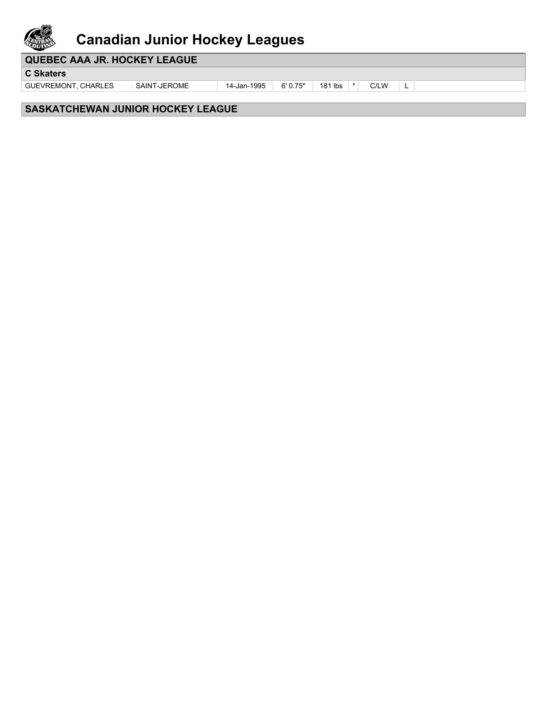

# **Canadian Junior Hockey Leagues**

### **QUEBEC AAA JR. HOCKEY LEAGUE**

**C Skaters**

GUEVREMONT, CHARLES SAINT-JEROME 14-Jan-1995 6'0.75" | 181 lbs | \* | C/LW | L

### **SASKATCHEWAN JUNIOR HOCKEY LEAGUE**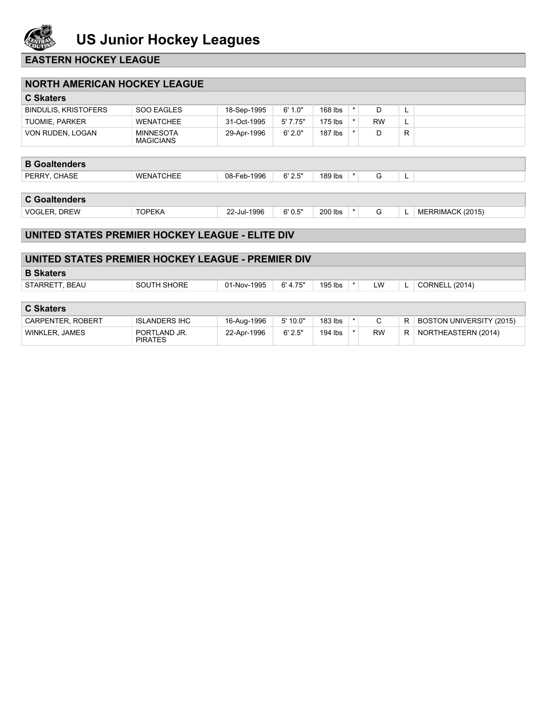

### **EASTERN HOCKEY LEAGUE**

| <b>NORTH AMERICAN HOCKEY LEAGUE</b>             |                                      |             |         |           |          |           |    |                  |
|-------------------------------------------------|--------------------------------------|-------------|---------|-----------|----------|-----------|----|------------------|
| <b>C</b> Skaters                                |                                      |             |         |           |          |           |    |                  |
| <b>BINDULIS, KRISTOFERS</b>                     | SOO EAGLES                           | 18-Sep-1995 | 6' 1.0" | $168$ lbs | $^\star$ | D         | ц. |                  |
| <b>TUOMIE, PARKER</b>                           | <b>WENATCHEE</b>                     | 31-Oct-1995 | 5'7.75" | $175$ lbs | $\star$  | <b>RW</b> | L. |                  |
| VON RUDEN, LOGAN                                | <b>MINNESOTA</b><br><b>MAGICIANS</b> | 29-Apr-1996 | 6'2.0"  | $187$ lbs |          | D         | R. |                  |
| <b>B</b> Goaltenders                            |                                      |             |         |           |          |           |    |                  |
|                                                 |                                      |             |         |           | $\star$  |           |    |                  |
| PERRY, CHASE                                    | <b>WENATCHEE</b>                     | 08-Feb-1996 | 6' 2.5" | 189 lbs   |          | G         | L. |                  |
| <b>C</b> Goaltenders                            |                                      |             |         |           |          |           |    |                  |
| <b>VOGLER, DREW</b>                             | <b>TOPEKA</b>                        | 22-Jul-1996 | 6'0.5"  | 200 lbs   | $\star$  | G         |    | MERRIMACK (2015) |
|                                                 |                                      |             |         |           |          |           |    |                  |
| UNITED STATES PREMIER HOCKEY LEAGUE - ELITE DIV |                                      |             |         |           |          |           |    |                  |

| UNITED STATES PREMIER HOCKEY LEAGUE - PREMIER DIV |                                |             |          |         |           |    |                                 |
|---------------------------------------------------|--------------------------------|-------------|----------|---------|-----------|----|---------------------------------|
| <b>B</b> Skaters                                  |                                |             |          |         |           |    |                                 |
| STARRETT, BEAU                                    | SOUTH SHORE                    | 01-Nov-1995 | 6' 4.75" | 195 lbs | LW        |    | <b>CORNELL (2014)</b>           |
|                                                   |                                |             |          |         |           |    |                                 |
| <b>C</b> Skaters                                  |                                |             |          |         |           |    |                                 |
| CARPENTER, ROBERT                                 | <b>ISLANDERS IHC</b>           | 16-Aug-1996 | 5'10.0"  | 183 lbs | C         | R. | <b>BOSTON UNIVERSITY (2015)</b> |
| <b>WINKLER, JAMES</b>                             | PORTLAND JR.<br><b>PIRATES</b> | 22-Apr-1996 | 6'2.5"   | 194 lbs | <b>RW</b> | R. | NORTHEASTERN (2014)             |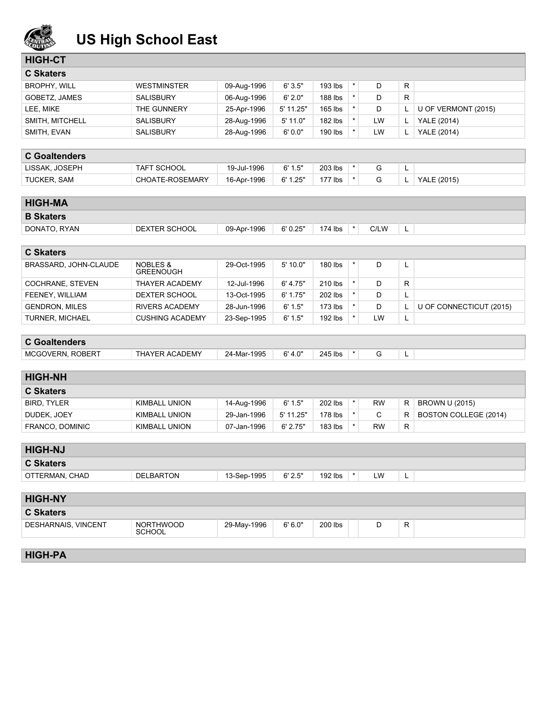

# **US High School East**

| <b>HIGH-CT</b> |
|----------------|
|----------------|

| <b>C</b> Skaters    |                    |             |            |           |    |    |                     |
|---------------------|--------------------|-------------|------------|-----------|----|----|---------------------|
| <b>BROPHY, WILL</b> | <b>WESTMINSTER</b> | 09-Aug-1996 | 6'3.5"     | $193$ lbs |    | R. |                     |
| GOBETZ, JAMES       | <b>SALISBURY</b>   | 06-Aug-1996 | 6'2.0"     | 188 lbs   |    | R. |                     |
| LEE, MIKE           | THE GUNNERY        | 25-Apr-1996 | 5' 11.25"  | $165$ lbs |    |    | U OF VERMONT (2015) |
| SMITH, MITCHELL     | <b>SALISBURY</b>   | 28-Aug-1996 | $5'$ 11.0" | $182$ lbs | LW |    | <b>YALE (2014)</b>  |
| SMITH, EVAN         | <b>SALISBURY</b>   | 28-Aug-1996 | 6'0.0"     | 190 lbs   | LW |    | <b>YALE (2014)</b>  |

### **C Goaltenders**

| .              |                    |             |          |         |  |   |             |
|----------------|--------------------|-------------|----------|---------|--|---|-------------|
| LISSAK, JOSEPH | <b>TAFT SCHOOL</b> | 19-Jul-1996 | 6' 1.5"  | 203 lbs |  | - |             |
| TUCKER, SAM    | CHOATE-ROSEMARY    | 16-Apr-1996 | 6' 1.25" | 177 lbs |  | - | YALE (2015) |

| <b>HIGH-MA</b>          |                                         |             |           |           |          |           |   |                         |
|-------------------------|-----------------------------------------|-------------|-----------|-----------|----------|-----------|---|-------------------------|
| <b>B</b> Skaters        |                                         |             |           |           |          |           |   |                         |
| DONATO, RYAN            | DEXTER SCHOOL                           | 09-Apr-1996 | 6' 0.25"  | 174 lbs   | $\star$  | C/LW      | L |                         |
|                         |                                         |             |           |           |          |           |   |                         |
| <b>C Skaters</b>        |                                         |             |           |           |          |           |   |                         |
| BRASSARD, JOHN-CLAUDE   | <b>NOBLES &amp;</b><br><b>GREENOUGH</b> | 29-Oct-1995 | 5' 10.0"  | 180 lbs   | $\star$  | D         | L |                         |
| COCHRANE, STEVEN        | <b>THAYER ACADEMY</b>                   | 12-Jul-1996 | 6' 4.75"  | 210 lbs   | $\star$  | D         | R |                         |
| FEENEY, WILLIAM         | DEXTER SCHOOL                           | 13-Oct-1995 | 6' 1.75"  | 202 lbs   | $\star$  | D         | L |                         |
| <b>GENDRON, MILES</b>   | <b>RIVERS ACADEMY</b>                   | 28-Jun-1996 | 6' 1.5"   | $173$ lbs | $\star$  | D         |   | U OF CONNECTICUT (2015) |
| <b>TURNER, MICHAEL</b>  | <b>CUSHING ACADEMY</b>                  | 23-Sep-1995 | 6' 1.5"   | 192 lbs   | $^\star$ | LW        | L |                         |
|                         |                                         |             |           |           |          |           |   |                         |
| <b>C</b> Goaltenders    |                                         |             |           |           |          |           |   |                         |
| <b>MCGOVERN, ROBERT</b> | <b>THAYER ACADEMY</b>                   | 24-Mar-1995 | 6' 4.0"   | 245 lbs   | $\star$  | G         | L |                         |
|                         |                                         |             |           |           |          |           |   |                         |
| <b>HIGH-NH</b>          |                                         |             |           |           |          |           |   |                         |
| <b>C Skaters</b>        |                                         |             |           |           |          |           |   |                         |
| <b>BIRD, TYLER</b>      | <b>KIMBALL UNION</b>                    | 14-Aug-1996 | 6' 1.5"   | 202 lbs   | $\star$  | <b>RW</b> | R | BROWN U (2015)          |
| DUDEK, JOEY             | <b>KIMBALL UNION</b>                    | 29-Jan-1996 | 5' 11.25" | 178 lbs   | $\star$  | C         | R | BOSTON COLLEGE (2014)   |
| FRANCO, DOMINIC         | <b>KIMBALL UNION</b>                    | 07-Jan-1996 | 6' 2.75"  | 183 lbs   |          | <b>RW</b> | R |                         |
|                         |                                         |             |           |           |          |           |   |                         |

| <b>HIGH-NJ</b>   |           |             |         |         |         |    |   |  |
|------------------|-----------|-------------|---------|---------|---------|----|---|--|
| <b>C Skaters</b> |           |             |         |         |         |    |   |  |
| OTTERMAN, CHAD   | DELBARTON | 13-Sep-1995 | 6' 2.5" | 192 lbs | $\star$ | LW | - |  |
|                  |           |             |         |         |         |    |   |  |

| <b>HIGH-NY</b>      |                            |             |         |         |   |  |
|---------------------|----------------------------|-------------|---------|---------|---|--|
| <b>C Skaters</b>    |                            |             |         |         |   |  |
| DESHARNAIS, VINCENT | NORTHWOOD<br><b>SCHOOL</b> | 29-May-1996 | 6' 6.0" | 200 lbs | R |  |
|                     |                            |             |         |         |   |  |

**HIGH-PA**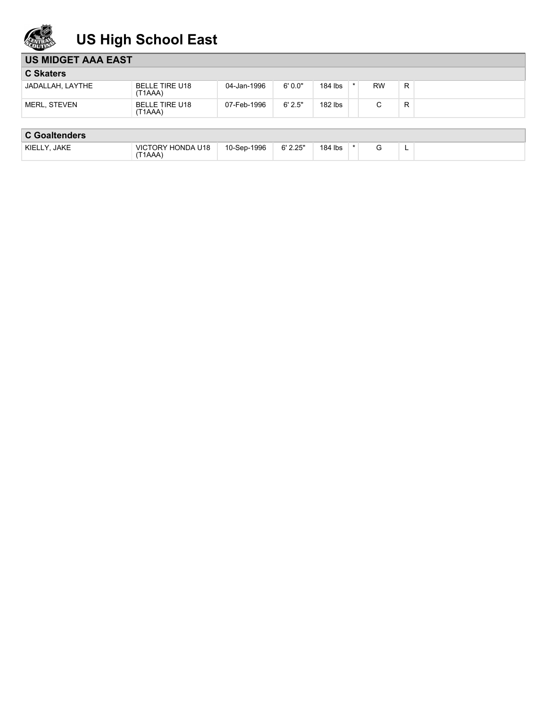

# **US High School East**

| <b>US MIDGET AAA EAST</b> |                                  |             |        |         |           |   |  |
|---------------------------|----------------------------------|-------------|--------|---------|-----------|---|--|
| <b>C Skaters</b>          |                                  |             |        |         |           |   |  |
| JADALLAH, LAYTHE          | <b>BELLE TIRE U18</b><br>(T1AAA) | 04-Jan-1996 | 6'0.0" | 184 lbs | <b>RW</b> | R |  |
| MERL, STEVEN              | BELLE TIRE U18<br>(T1AAA)        | 07-Feb-1996 | 6'2.5" | 182 lbs |           | R |  |

## **C Goaltenders**

| <b>JAKE</b><br>KIELLY. | <b>VICTORY HONDA U18</b><br>(T1AAA) | 10-Sep-1996 | 6' 2.25" | 184 lbs |  |  |
|------------------------|-------------------------------------|-------------|----------|---------|--|--|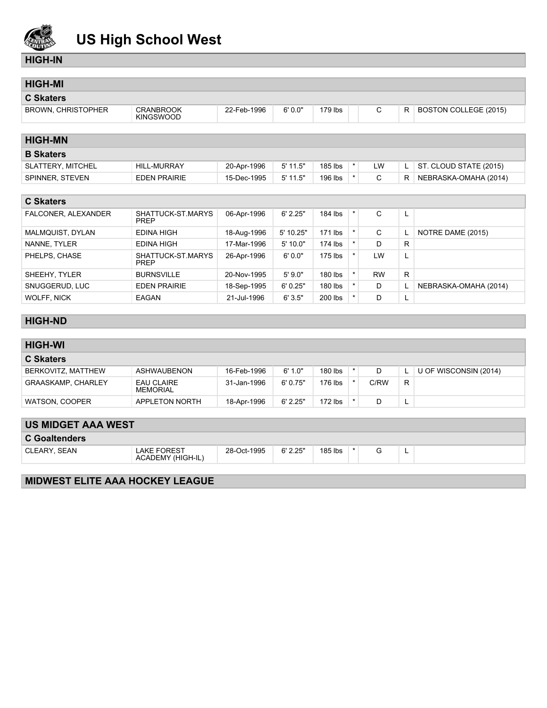

# **US High School West**

#### **HIGH-IN**

| <b>HIGH-MI</b>            |                                      |             |            |           |         |              |    |                              |
|---------------------------|--------------------------------------|-------------|------------|-----------|---------|--------------|----|------------------------------|
| <b>C Skaters</b>          |                                      |             |            |           |         |              |    |                              |
| <b>BROWN, CHRISTOPHER</b> | <b>CRANBROOK</b><br><b>KINGSWOOD</b> | 22-Feb-1996 | 6'0.0"     | $179$ lbs |         | C            | R. | <b>BOSTON COLLEGE (2015)</b> |
|                           |                                      |             |            |           |         |              |    |                              |
| <b>HIGH-MN</b>            |                                      |             |            |           |         |              |    |                              |
| <b>B</b> Skaters          |                                      |             |            |           |         |              |    |                              |
| SLATTERY, MITCHEL         | <b>HILL-MURRAY</b>                   | 20-Apr-1996 | $5'$ 11.5" | 185 lbs   | $\star$ | LW           | L. | ST. CLOUD STATE (2015)       |
| SPINNER, STEVEN           | <b>EDEN PRAIRIE</b>                  | 15-Dec-1995 | $5'$ 11.5" | 196 lbs   | $\star$ | C            | R. | NEBRASKA-OMAHA (2014)        |
|                           |                                      |             |            |           |         |              |    |                              |
| <b>C Skaters</b>          |                                      |             |            |           |         |              |    |                              |
| FALCONER, ALEXANDER       | SHATTUCK-ST.MARYS<br><b>PREP</b>     | 06-Apr-1996 | 6' 2.25"   | 184 lbs   | $\star$ | C            | L  |                              |
| MALMQUIST, DYLAN          | <b>EDINA HIGH</b>                    | 18-Aug-1996 | 5' 10.25"  | $171$ lbs | $\star$ | $\mathsf{C}$ | L  | NOTRE DAME (2015)            |
| NANNE, TYLER              | <b>EDINA HIGH</b>                    | 17-Mar-1996 | 5' 10.0"   | 174 lbs   | $\star$ | D.           | R  |                              |
| PHELPS, CHASE             | SHATTUCK-ST.MARYS<br><b>PREP</b>     | 26-Apr-1996 | 6'0.0"     | $175$ lbs | $\star$ | LW           | L  |                              |
| SHEEHY, TYLER             | <b>BURNSVILLE</b>                    | 20-Nov-1995 | 5'9.0"     | 180 lbs   | $\star$ | <b>RW</b>    | R. |                              |
| SNUGGERUD, LUC            | <b>EDEN PRAIRIE</b>                  | 18-Sep-1995 | 6'0.25"    | 180 lbs   |         | D            |    | NEBRASKA-OMAHA (2014)        |
| <b>WOLFF, NICK</b>        | <b>EAGAN</b>                         | 21-Jul-1996 | 6'3.5"     | 200 lbs   | $\star$ | D            | L  |                              |
|                           |                                      |             |            |           |         |              |    |                              |
| <b>HIGH-ND</b>            |                                      |             |            |           |         |              |    |                              |
|                           |                                      |             |            |           |         |              |    |                              |

#### **HIGH-WI C Skaters** BERKOVITZ, MATTHEW ASHWAUBENON 16-Feb-1996 6'1.0" 180 lbs \* D L U OF WISCONSIN (2014) GRAASKAMP, CHARLEY EAU CLAIRE<br>MEMORIAL 31-Jan-1996 6'0.75" 176 lbs \* C/RW R WATSON, COOPER APPLETON NORTH 18-Apr-1996 6' 2.25" | 172 lbs  $*$  D L

| <b>US MIDGET AAA WEST</b> |                                         |             |          |         |  |   |  |
|---------------------------|-----------------------------------------|-------------|----------|---------|--|---|--|
| <b>C</b> Goaltenders      |                                         |             |          |         |  |   |  |
| CLEARY SEAN               | <b>LAKE FOREST</b><br>ACADEMY (HIGH-IL) | 28-Oct-1995 | 6' 2.25" | 185 lbs |  | − |  |
|                           |                                         |             |          |         |  |   |  |

### **MIDWEST ELITE AAA HOCKEY LEAGUE**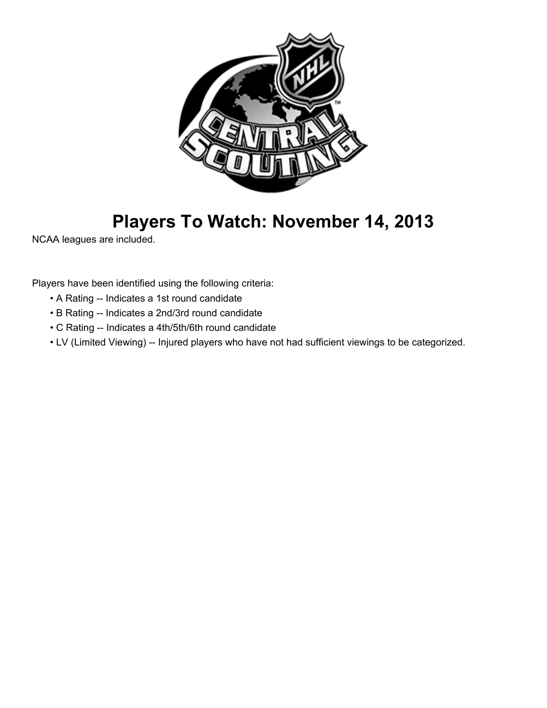

# **Players To Watch: November 14, 2013**

NCAA leagues are included.

Players have been identified using the following criteria:

- A Rating -- Indicates a 1st round candidate
- B Rating -- Indicates a 2nd/3rd round candidate
- C Rating -- Indicates a 4th/5th/6th round candidate
- LV (Limited Viewing) -- Injured players who have not had sufficient viewings to be categorized.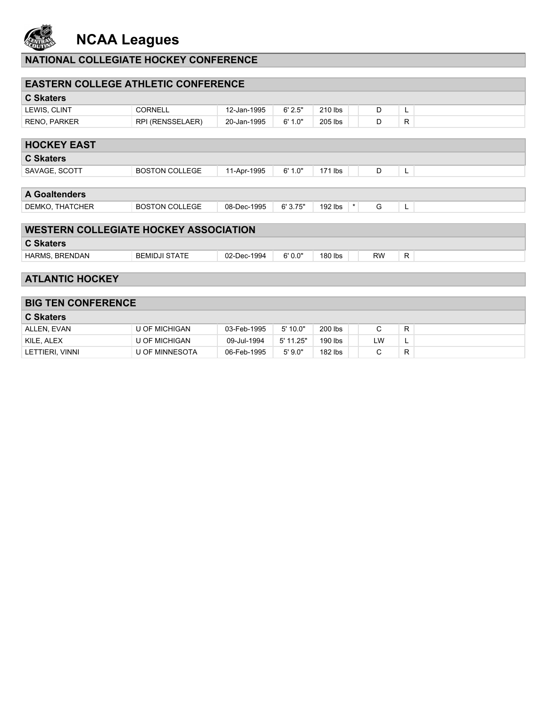

**NCAA Leagues**

## **NATIONAL COLLEGIATE HOCKEY CONFERENCE**

| <b>EASTERN COLLEGE ATHLETIC CONFERENCE</b>   |                       |             |            |                    |              |    |
|----------------------------------------------|-----------------------|-------------|------------|--------------------|--------------|----|
| <b>C</b> Skaters                             |                       |             |            |                    |              |    |
| LEWIS, CLINT                                 | <b>CORNELL</b>        | 12-Jan-1995 | 6' 2.5"    | 210 lbs            | D            | L  |
| RENO, PARKER                                 | RPI (RENSSELAER)      | 20-Jan-1995 | 6' 1.0"    | 205 lbs            | D            | R. |
|                                              |                       |             |            |                    |              |    |
| <b>HOCKEY EAST</b>                           |                       |             |            |                    |              |    |
| <b>C Skaters</b>                             |                       |             |            |                    |              |    |
| SAVAGE, SCOTT                                | <b>BOSTON COLLEGE</b> | 11-Apr-1995 | 6' 1.0"    | 171 lbs            | D            | L  |
|                                              |                       |             |            |                    |              |    |
| <b>A Goaltenders</b>                         |                       |             |            |                    |              |    |
| DEMKO, THATCHER                              | <b>BOSTON COLLEGE</b> | 08-Dec-1995 | 6'3.75"    | 192 lbs<br>$\star$ | G            | L  |
|                                              |                       |             |            |                    |              |    |
| <b>WESTERN COLLEGIATE HOCKEY ASSOCIATION</b> |                       |             |            |                    |              |    |
| <b>C Skaters</b>                             |                       |             |            |                    |              |    |
| HARMS, BRENDAN                               | <b>BEMIDJI STATE</b>  | 02-Dec-1994 | 6'0.0"     | 180 lbs            | <b>RW</b>    | R. |
|                                              |                       |             |            |                    |              |    |
| <b>ATLANTIC HOCKEY</b>                       |                       |             |            |                    |              |    |
|                                              |                       |             |            |                    |              |    |
| <b>BIG TEN CONFERENCE</b>                    |                       |             |            |                    |              |    |
| <b>C Skaters</b>                             |                       |             |            |                    |              |    |
| ALLEN, EVAN                                  | <b>U OF MICHIGAN</b>  | 03-Feb-1995 | $5'$ 10.0" | 200 lbs            | $\mathsf{C}$ | R  |
| KILE, ALEX                                   | <b>U OF MICHIGAN</b>  | 09-Jul-1994 | 5' 11.25"  | 190 lbs            | LW           | L  |
| LETTIERI, VINNI                              | <b>U OF MINNESOTA</b> | 06-Feb-1995 | 5'9.0"     | $182$ lbs          | C            | R. |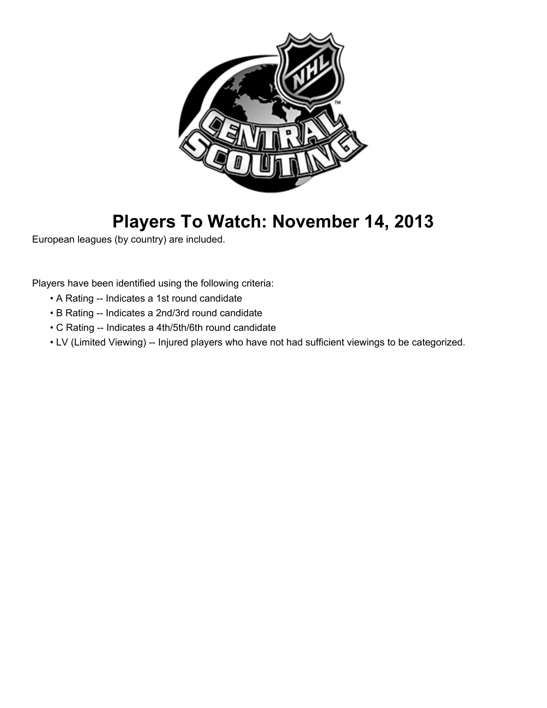

# **Players To Watch: November 14, 2013**

European leagues (by country) are included.

Players have been identified using the following criteria:

- A Rating -- Indicates a 1st round candidate
- B Rating -- Indicates a 2nd/3rd round candidate
- C Rating -- Indicates a 4th/5th/6th round candidate
- LV (Limited Viewing) -- Injured players who have not had sufficient viewings to be categorized.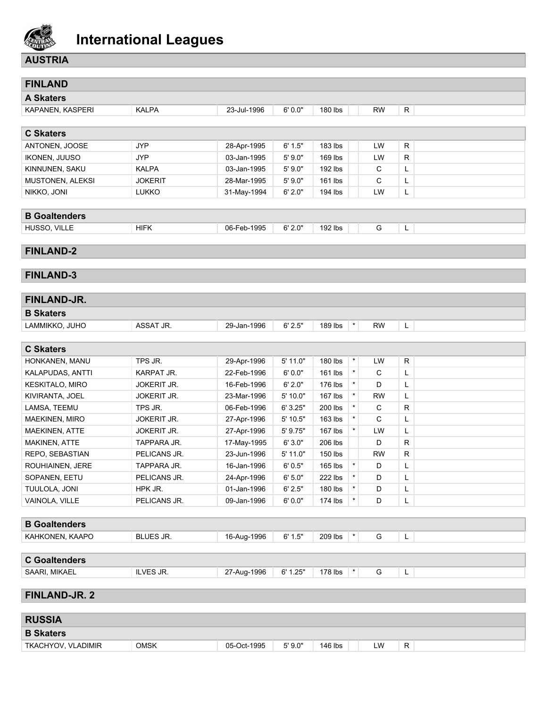

### **AUSTRIA**

| <b>FINLAND</b>        |                    |             |            |                       |           |   |
|-----------------------|--------------------|-------------|------------|-----------------------|-----------|---|
| <b>A Skaters</b>      |                    |             |            |                       |           |   |
| KAPANEN, KASPERI      | <b>KALPA</b>       | 23-Jul-1996 | 6'0.0"     | 180 lbs               | <b>RW</b> | R |
|                       |                    |             |            |                       |           |   |
| <b>C Skaters</b>      |                    |             |            |                       |           |   |
| ANTONEN, JOOSE        | <b>JYP</b>         | 28-Apr-1995 | 6' 1.5"    | 183 lbs               | LW        | R |
| <b>IKONEN, JUUSO</b>  | <b>JYP</b>         | 03-Jan-1995 | 5'9.0"     | 169 lbs               | LW        | R |
| KINNUNEN, SAKU        | <b>KALPA</b>       | 03-Jan-1995 | 5'9.0"     | 192 lbs               | С         | Г |
| MUSTONEN, ALEKSI      | <b>JOKERIT</b>     | 28-Mar-1995 | 5'9.0"     | 161 lbs               | С         | L |
| NIKKO, JONI           | <b>LUKKO</b>       | 31-May-1994 | 6' 2.0"    | 194 lbs               | LW        | L |
|                       |                    |             |            |                       |           |   |
| <b>B</b> Goaltenders  |                    |             |            |                       |           |   |
| HUSSO, VILLE          | <b>HIFK</b>        | 06-Feb-1995 | 6' 2.0"    | 192 lbs               | G         | L |
|                       |                    |             |            |                       |           |   |
| <b>FINLAND-2</b>      |                    |             |            |                       |           |   |
|                       |                    |             |            |                       |           |   |
| <b>FINLAND-3</b>      |                    |             |            |                       |           |   |
|                       |                    |             |            |                       |           |   |
| FINLAND-JR.           |                    |             |            |                       |           |   |
| <b>B Skaters</b>      |                    |             |            |                       |           |   |
| LAMMIKKO, JUHO        | ASSAT JR.          | 29-Jan-1996 | 6' 2.5"    | $\star$<br>189 lbs    | <b>RW</b> | L |
|                       |                    |             |            |                       |           |   |
| <b>C Skaters</b>      |                    |             |            |                       |           |   |
| HONKANEN, MANU        | TPS JR.            | 29-Apr-1996 | $5'$ 11.0" | $\star$<br>180 lbs    | LW        | R |
| KALAPUDAS, ANTTI      | KARPAT JR.         | 22-Feb-1996 | 6'0.0"     | $\star$<br>161 lbs    | C         | Г |
| KESKITALO, MIRO       | <b>JOKERIT JR.</b> | 16-Feb-1996 | 6' 2.0"    | $\star$<br>176 lbs    | D         | L |
| KIVIRANTA, JOEL       | <b>JOKERIT JR.</b> | 23-Mar-1996 | 5'10.0"    | $\star$<br>167 lbs    | <b>RW</b> | L |
| LAMSA, TEEMU          | TPS JR.            | 06-Feb-1996 | 6' 3.25"   | $\star$<br>200 lbs    | С         | R |
| <b>MAEKINEN, MIRO</b> | JOKERIT JR.        | 27-Apr-1996 | 5' 10.5"   | $\star$<br>163 lbs    | C         | L |
| MAEKINEN, ATTE        | <b>JOKERIT JR.</b> | 27-Apr-1996 | 5' 9.75"   | $\star$<br>167 lbs    | LW        | Г |
| MAKINEN, ATTE         | TAPPARA JR.        | 17-May-1995 | 6' 3.0"    | 206 lbs               | D         | R |
| REPO, SEBASTIAN       | PELICANS JR.       | 23-Jun-1996 | $5'$ 11.0" | 150 lbs               | <b>RW</b> | R |
| ROUHIAINEN, JERE      | TAPPARA JR.        | 16-Jan-1996 | 6'0.5"     | $\star$<br>165 lbs    | D         | L |
| SOPANEN, EETU         | PELICANS JR.       | 24-Apr-1996 | 6' 5.0"    | 222 lbs<br>$^{\star}$ | D         | L |
| TUULOLA, JONI         | HPK JR.            | 01-Jan-1996 | 6' 2.5"    | $\star$<br>180 lbs    | D         | L |
| VAINOLA, VILLE        | PELICANS JR.       | 09-Jan-1996 | 6'0.0"     | $\star$<br>174 lbs    | D         | L |
|                       |                    |             |            |                       |           |   |
| <b>B</b> Goaltenders  |                    |             |            |                       |           |   |
| KAHKONEN, KAAPO       | BLUES JR.          | 16-Aug-1996 | 6' 1.5"    | 209 lbs<br>$^\star$   | G         | L |
|                       |                    |             |            |                       |           |   |
| <b>C</b> Goaltenders  |                    |             |            |                       |           |   |
| SAARI, MIKAEL         | ILVES JR.          | 27-Aug-1996 | 6' 1.25"   | 178 lbs<br>$^\star$   | G         | L |
|                       |                    |             |            |                       |           |   |
| <b>FINLAND-JR. 2</b>  |                    |             |            |                       |           |   |
|                       |                    |             |            |                       |           |   |
| <b>RUSSIA</b>         |                    |             |            |                       |           |   |
| <b>B Skaters</b>      |                    |             |            |                       |           |   |

TKACHYOV, VLADIMIR OMSK 05-Oct-1995 5'9.0" | 146 lbs | LW R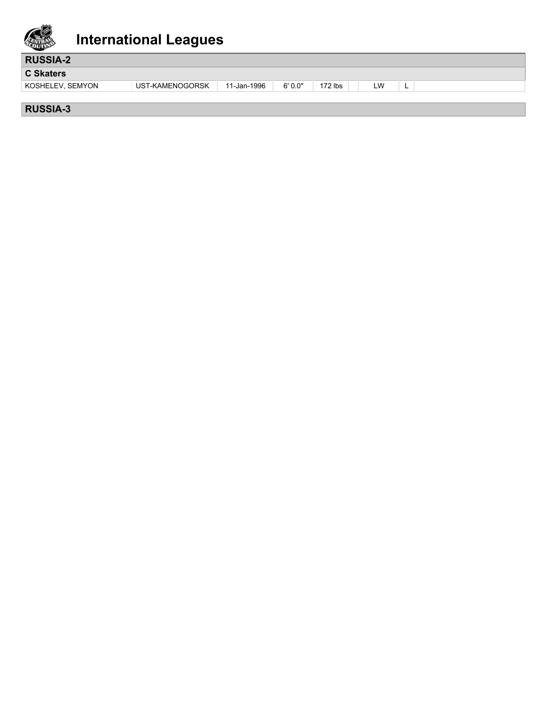

| <b>RUSSIA-2</b>  |                 |             |        |                        |    |   |  |
|------------------|-----------------|-------------|--------|------------------------|----|---|--|
| C Skaters        |                 |             |        |                        |    |   |  |
| KOSHELEV, SEMYON | UST-KAMENOGORSK | 11-Jan-1996 | 6'0.0" | 172 $\,\mathsf{lbs}\,$ | LW | - |  |
|                  |                 |             |        |                        |    |   |  |

### **RUSSIA-3**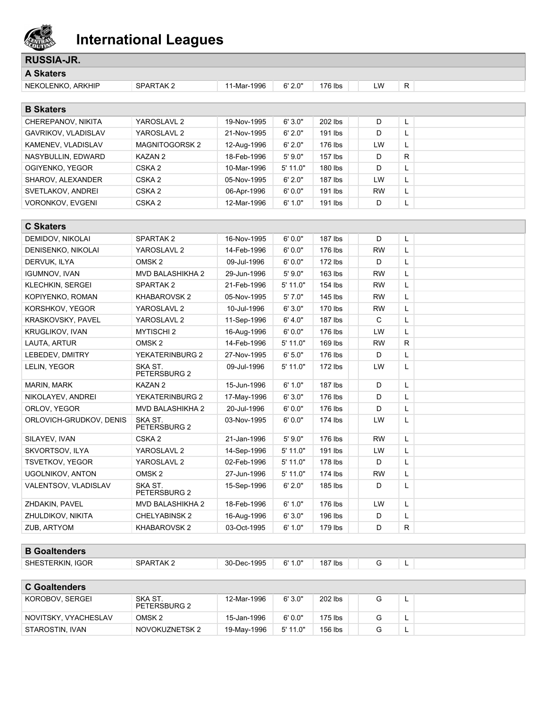

| <b>RUSSIA-JR.</b>       |                         |             |            |           |           |              |  |
|-------------------------|-------------------------|-------------|------------|-----------|-----------|--------------|--|
| <b>A Skaters</b>        |                         |             |            |           |           |              |  |
| NEKOLENKO, ARKHIP       | SPARTAK 2               | 11-Mar-1996 | 6' 2.0"    | 176 lbs   | LW        | R            |  |
|                         |                         |             |            |           |           |              |  |
| <b>B</b> Skaters        |                         |             |            |           |           |              |  |
| CHEREPANOV, NIKITA      | YAROSLAVL 2             | 19-Nov-1995 | 6'3.0"     | 202 lbs   | D         | L            |  |
| GAVRIKOV, VLADISLAV     | YAROSLAVL 2             | 21-Nov-1995 | 6' 2.0"    | 191 lbs   | D         | Г            |  |
| KAMENEV, VLADISLAV      | <b>MAGNITOGORSK2</b>    | 12-Aug-1996 | 6' 2.0"    | 176 lbs   | LW        | L            |  |
| NASYBULLIN, EDWARD      | KAZAN 2                 | 18-Feb-1996 | 5'9.0"     | 157 lbs   | D         | R            |  |
| OGIYENKO, YEGOR         | CSKA <sub>2</sub>       | 10-Mar-1996 | 5' 11.0"   | 180 lbs   | D         | L            |  |
| SHAROV, ALEXANDER       | CSKA <sub>2</sub>       | 05-Nov-1995 | 6' 2.0"    | 187 lbs   | LW        | L            |  |
| SVETLAKOV, ANDREI       | CSKA <sub>2</sub>       | 06-Apr-1996 | 6'0.0"     | 191 lbs   | RW        | L            |  |
| <b>VORONKOV, EVGENI</b> | CSKA <sub>2</sub>       | 12-Mar-1996 | 6' 1.0"    | 191 lbs   | D         | L            |  |
|                         |                         |             |            |           |           |              |  |
| <b>C Skaters</b>        |                         |             |            |           |           |              |  |
| DEMIDOV, NIKOLAI        | SPARTAK <sub>2</sub>    | 16-Nov-1995 | 6'0.0"     | 187 lbs   | D         | L            |  |
| DENISENKO, NIKOLAI      | YAROSLAVL 2             | 14-Feb-1996 | 6'0.0"     | 176 lbs   | <b>RW</b> | Г            |  |
| DERVUK, ILYA            | OMSK <sub>2</sub>       | 09-Jul-1996 | 6'0.0"     | $172$ lbs | D         | L            |  |
| <b>IGUMNOV, IVAN</b>    | MVD BALASHIKHA 2        | 29-Jun-1996 | 5'9.0"     | 163 lbs   | <b>RW</b> | L            |  |
| <b>KLECHKIN, SERGEI</b> | SPARTAK <sub>2</sub>    | 21-Feb-1996 | $5'$ 11.0" | 154 lbs   | RW        | L            |  |
| KOPIYENKO, ROMAN        | <b>KHABAROVSK2</b>      | 05-Nov-1995 | 5' 7.0"    | 145 lbs   | RW        | L            |  |
| KORSHKOV, YEGOR         | YAROSLAVL 2             | 10-Jul-1996 | 6'3.0"     | 170 lbs   | <b>RW</b> | L            |  |
| KRASKOVSKY, PAVEL       | YAROSLAVL 2             | 11-Sep-1996 | 6' 4.0"    | 187 lbs   | С         | L            |  |
| <b>KRUGLIKOV, IVAN</b>  | <b>MYTISCHI 2</b>       | 16-Aug-1996 | 6'0.0"     | 176 lbs   | LW        | L            |  |
| LAUTA, ARTUR            | OMSK <sub>2</sub>       | 14-Feb-1996 | 5' 11.0"   | 169 lbs   | <b>RW</b> | $\mathsf{R}$ |  |
| LEBEDEV, DMITRY         | YEKATERINBURG 2         | 27-Nov-1995 | 6' 5.0"    | 176 lbs   | D         | L            |  |
| LELIN, YEGOR            | SKA ST.<br>PETERSBURG 2 | 09-Jul-1996 | 5' 11.0"   | 172 lbs   | LW        | L            |  |
| MARIN, MARK             | KAZAN 2                 | 15-Jun-1996 | 6' 1.0"    | $187$ lbs | D         | L            |  |
| NIKOLAYEV, ANDREI       | YEKATERINBURG 2         | 17-May-1996 | 6'3.0"     | 176 lbs   | D         | Г            |  |
| ORLOV, YEGOR            | <b>MVD BALASHIKHA 2</b> | 20-Jul-1996 | 6'0.0"     | 176 lbs   | D         | L            |  |
| ORLOVICH-GRUDKOV, DENIS | SKA ST.<br>PETERSBURG 2 | 03-Nov-1995 | 6'0.0"     | 174 lbs   | LW        | L            |  |
| SILAYEV, IVAN           | CSKA <sub>2</sub>       | 21-Jan-1996 | 5'9.0"     | 176 lbs   | <b>RW</b> | L            |  |
| SKVORTSOV, ILYA         | YAROSLAVL 2             | 14-Sep-1996 | 5' 11.0"   | 191 lbs   | LW        | L            |  |
| <b>TSVETKOV, YEGOR</b>  | YAROSLAVL 2             | 02-Feb-1996 | 5' 11.0"   | 178 lbs   | D         | L            |  |
| <b>UGOLNIKOV, ANTON</b> | OMSK <sub>2</sub>       | 27-Jun-1996 | 5' 11.0"   | 174 lbs   | <b>RW</b> | L            |  |
| VALENTSOV, VLADISLAV    | SKA ST.<br>PETERSBURG 2 | 15-Sep-1996 | 6' 2.0"    | 185 lbs   | D         | L            |  |
| ZHDAKIN, PAVEL          | MVD BALASHIKHA 2        | 18-Feb-1996 | 6' 1.0"    | 176 lbs   | LW        | L            |  |
| ZHULDIKOV, NIKITA       | <b>CHELYABINSK 2</b>    | 16-Aug-1996 | 6'3.0"     | 196 lbs   | D         | L            |  |
| ZUB, ARTYOM             | KHABAROVSK 2            | 03-Oct-1995 | 6' 1.0"    | 179 lbs   | D         | R            |  |
|                         |                         |             |            |           |           |              |  |
| <b>B</b> Goaltenders    |                         |             |            |           |           |              |  |
| SHESTERKIN, IGOR        | SPARTAK 2               | 30-Dec-1995 | 6' 1.0"    | 187 lbs   | G         | L            |  |
|                         |                         |             |            |           |           |              |  |
| <b>C</b> Goaltenders    |                         |             |            |           |           |              |  |
| KOROBOV, SERGEI         | SKA ST.<br>PETERSBURG 2 | 12-Mar-1996 | 6'3.0"     | 202 lbs   | G         | L            |  |
| NOVITSKY, VYACHESLAV    | OMSK <sub>2</sub>       | 15-Jan-1996 | 6'0.0"     | 175 lbs   | G         | L.           |  |

STAROSTIN, IVAN NOVOKUZNETSK 2 19-May-1996 5'11.0" 156 lbs G L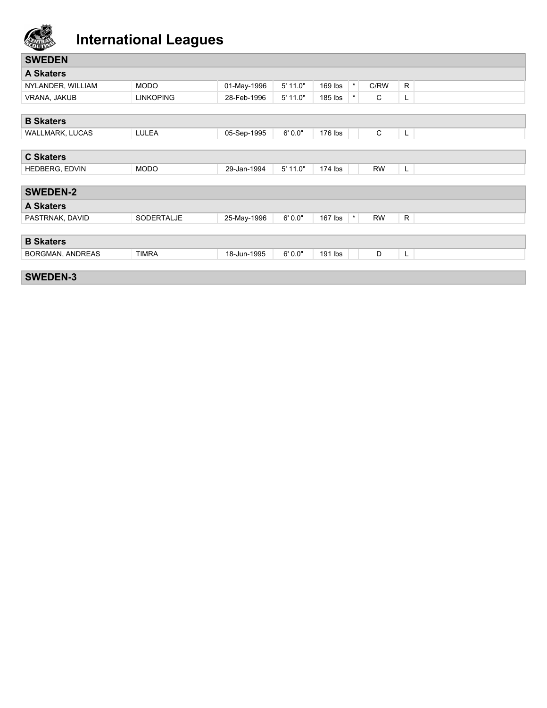

| <b>SWEDEN</b>           |                  |             |            |                    |           |    |  |
|-------------------------|------------------|-------------|------------|--------------------|-----------|----|--|
| <b>A Skaters</b>        |                  |             |            |                    |           |    |  |
| NYLANDER, WILLIAM       | <b>MODO</b>      | 01-May-1996 | 5' 11.0"   | $\star$<br>169 lbs | C/RW      | R. |  |
| VRANA, JAKUB            | <b>LINKOPING</b> | 28-Feb-1996 | $5'$ 11.0" | $\star$<br>185 lbs | C         | L. |  |
|                         |                  |             |            |                    |           |    |  |
| <b>B</b> Skaters        |                  |             |            |                    |           |    |  |
| WALLMARK, LUCAS         | LULEA            | 05-Sep-1995 | 6'0.0"     | 176 lbs            | C         | L. |  |
|                         |                  |             |            |                    |           |    |  |
| <b>C Skaters</b>        |                  |             |            |                    |           |    |  |
| HEDBERG, EDVIN          | <b>MODO</b>      | 29-Jan-1994 | 5' 11.0"   | $174$ lbs          | <b>RW</b> | L. |  |
|                         |                  |             |            |                    |           |    |  |
| <b>SWEDEN-2</b>         |                  |             |            |                    |           |    |  |
| <b>A Skaters</b>        |                  |             |            |                    |           |    |  |
| PASTRNAK, DAVID         | SODERTALJE       | 25-May-1996 | 6'0.0"     | $\star$<br>167 lbs | <b>RW</b> | R  |  |
|                         |                  |             |            |                    |           |    |  |
| <b>B</b> Skaters        |                  |             |            |                    |           |    |  |
| <b>BORGMAN, ANDREAS</b> | <b>TIMRA</b>     | 18-Jun-1995 | 6'0.0"     | 191 lbs            | D         | L  |  |
|                         |                  |             |            |                    |           |    |  |
| <b>SWEDEN-3</b>         |                  |             |            |                    |           |    |  |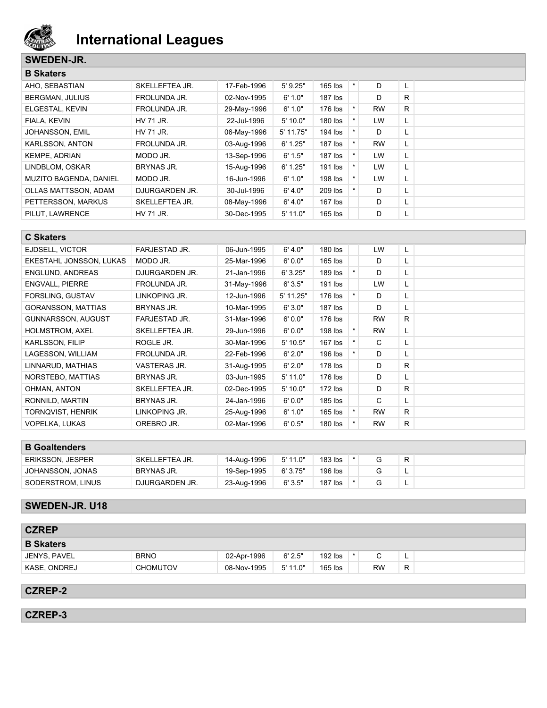

#### **SWEDEN-JR.**

| <b>B</b> Skaters              |                     |             |             |           |         |           |    |  |
|-------------------------------|---------------------|-------------|-------------|-----------|---------|-----------|----|--|
| AHO, SEBASTIAN                | SKELLEFTEA JR.      | 17-Feb-1996 | $5'$ 9.25"  | $165$ lbs | $\star$ | D         |    |  |
| <b>BERGMAN, JULIUS</b>        | <b>FROLUNDA JR.</b> | 02-Nov-1995 | 6' 1.0"     | $187$ lbs |         | D         | R  |  |
| ELGESTAL, KEVIN               | <b>FROLUNDA JR.</b> | 29-May-1996 | 6' 1.0"     | 176 lbs   |         | <b>RW</b> | R. |  |
| FIALA, KEVIN                  | HV 71 JR.           | 22-Jul-1996 | 5'10.0"     | 180 lbs   |         | <b>LW</b> | L. |  |
| JOHANSSON, EMIL               | HV 71 JR.           | 06-May-1996 | $5'$ 11.75" | 194 lbs   |         | D         | ┗  |  |
| KARLSSON, ANTON               | FROLUNDA JR.        | 03-Aug-1996 | 6' 1.25"    | $187$ lbs | $\star$ | <b>RW</b> | ч. |  |
| <b>KEMPE, ADRIAN</b>          | MODO JR.            | 13-Sep-1996 | 6' 1.5"     | $187$ lbs | $\star$ | LW        | L. |  |
| LINDBLOM, OSKAR               | <b>BRYNAS JR.</b>   | 15-Aug-1996 | 6' 1.25"    | 191 lbs   |         | <b>LW</b> | ч. |  |
| <b>MUZITO BAGENDA, DANIEL</b> | MODO JR.            | 16-Jun-1996 | 6' 1.0"     | 198 lbs   |         | LW        | L. |  |
| OLLAS MATTSSON, ADAM          | DJURGARDEN JR.      | 30-Jul-1996 | 6' 4.0"     | 209 lbs   |         | D         | ┗  |  |
| PETTERSSON, MARKUS            | SKELLEFTEA JR.      | 08-May-1996 | 6' 4.0"     | $167$ lbs |         | D         | ┗  |  |
| PILUT, LAWRENCE               | HV 71 JR.           | 30-Dec-1995 | $5'$ 11.0"  | $165$ lbs |         | D         |    |  |

#### **C Skaters**

| <b>FARJESTAD JR.</b> | 06-Jun-1995 | 6' 4.0"     | 180 lbs   |         | LW        | L  |  |
|----------------------|-------------|-------------|-----------|---------|-----------|----|--|
| MODO JR.             | 25-Mar-1996 | 6'0.0"      | $165$ lbs |         | D         | L. |  |
| DJURGARDEN JR.       | 21-Jan-1996 | 6'3.25"     | 189 lbs   | $\star$ | D         | L. |  |
| FROLUNDA JR.         | 31-May-1996 | 6'3.5"      | 191 lbs   |         | LW        | L. |  |
| LINKOPING JR.        | 12-Jun-1996 | $5'$ 11.25" | 176 lbs   | $\star$ | D         | L  |  |
| <b>BRYNAS JR.</b>    | 10-Mar-1995 | 6'3.0"      | $187$ lbs |         | D         | L. |  |
| <b>FARJESTAD JR.</b> | 31-Mar-1996 | 6'0.0"      | 176 lbs   |         | <b>RW</b> | R. |  |
| SKELLEFTEA JR.       | 29-Jun-1996 | 6'0.0"      | 198 lbs   | $\star$ | <b>RW</b> | L. |  |
| ROGLE JR.            | 30-Mar-1996 | $5'$ 10.5"  | $167$ lbs |         | C         | L. |  |
| FROLUNDA JR.         | 22-Feb-1996 | 6' 2.0"     | 196 lbs   |         | D         | L. |  |
| VASTERAS JR.         | 31-Aug-1995 | 6' 2.0"     | $178$ lbs |         | D         | R. |  |
| <b>BRYNAS JR.</b>    | 03-Jun-1995 | $5'$ 11.0"  | 176 lbs   |         | D         | L. |  |
| SKELLEFTEA JR.       | 02-Dec-1995 | 5'10.0"     | $172$ lbs |         | D         | R. |  |
| <b>BRYNAS JR.</b>    | 24-Jan-1996 | 6'0.0"      | $185$ lbs |         | C         | L. |  |
| LINKOPING JR.        | 25-Aug-1996 | 6' 1.0"     | $165$ lbs | $\star$ | <b>RW</b> | R. |  |
| OREBRO JR.           | 02-Mar-1996 | 6'0.5"      | 180 lbs   |         | <b>RW</b> | R. |  |
|                      |             |             |           |         |           |    |  |

#### **B Goaltenders**

| <b>ERIKSSON, JESPER</b> | SKELLEFTEA JR. | 14-Aug-1996 | 5' 11.0" | $183$ lbs |  |          |
|-------------------------|----------------|-------------|----------|-----------|--|----------|
| JOHANSSON, JONAS        | BRYNAS JR.     | 19-Sep-1995 | 6' 3.75" | 196 lbs   |  | -        |
| SODERSTROM, LINUS       | DJURGARDEN JR. | 23-Aug-1996 | 6'3.5"   | $187$ lbs |  | <u>ь</u> |

### **SWEDEN-JR. U18**

| <b>CZREP</b>     |                 |             |            |           |           |   |
|------------------|-----------------|-------------|------------|-----------|-----------|---|
| <b>B</b> Skaters |                 |             |            |           |           |   |
| JENYS, PAVEL     | <b>BRNO</b>     | 02-Apr-1996 | 6' 2.5"    | 192 lbs   |           | ∽ |
| KASE, ONDREJ     | <b>CHOMUTOV</b> | 08-Nov-1995 | $5'$ 11.0" | $165$ lbs | <b>RW</b> | R |

## **CZREP-2**

**CZREP-3**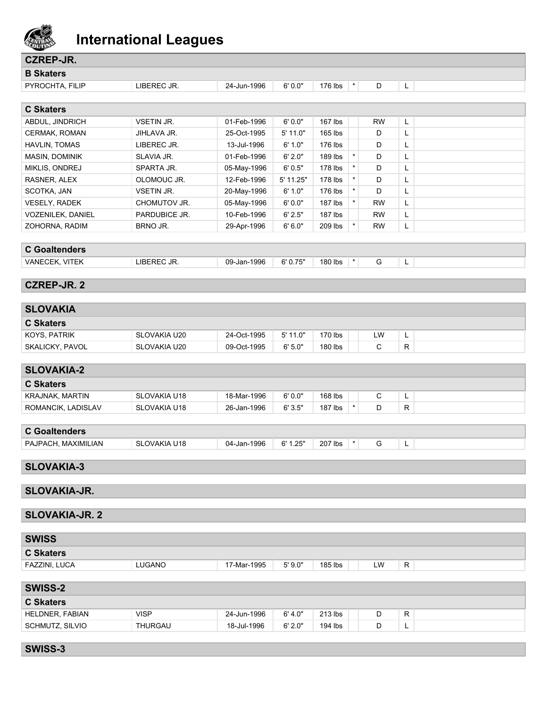

| <b>CZREP-JR.</b>         |               |             |            |         |         |           |    |  |
|--------------------------|---------------|-------------|------------|---------|---------|-----------|----|--|
| <b>B Skaters</b>         |               |             |            |         |         |           |    |  |
| PYROCHTA, FILIP          | LIBEREC JR.   | 24-Jun-1996 | 6'0.0"     | 176 lbs | $\star$ | D         | L  |  |
|                          |               |             |            |         |         |           |    |  |
| <b>C Skaters</b>         |               |             |            |         |         |           |    |  |
| ABDUL, JINDRICH          | VSETIN JR.    | 01-Feb-1996 | 6'0.0"     | 167 lbs |         | <b>RW</b> | L  |  |
| CERMAK, ROMAN            | JIHLAVA JR.   | 25-Oct-1995 | $5'$ 11.0" | 165 lbs |         | D         | L  |  |
| HAVLIN, TOMAS            | LIBEREC JR.   | 13-Jul-1996 | 6' 1.0"    | 176 lbs |         | D         | L  |  |
| MASIN, DOMINIK           | SLAVIA JR.    | 01-Feb-1996 | 6' 2.0"    | 189 lbs | $\star$ | D         | L  |  |
| MIKLIS, ONDREJ           | SPARTA JR.    | 05-May-1996 | 6'0.5"     | 178 lbs | $\star$ | D         | L  |  |
| RASNER, ALEX             | OLOMOUC JR.   | 12-Feb-1996 | 5' 11.25"  | 178 lbs | $\star$ | D         | Г  |  |
| SCOTKA, JAN              | VSETIN JR.    | 20-May-1996 | 6' 1.0"    | 176 lbs | $\star$ | D         | L  |  |
| <b>VESELY, RADEK</b>     | CHOMUTOV JR.  | 05-May-1996 | 6'0.0"     | 187 lbs | $\star$ | <b>RW</b> | L  |  |
| <b>VOZENILEK, DANIEL</b> | PARDUBICE JR. | 10-Feb-1996 | 6' 2.5"    | 187 lbs |         | <b>RW</b> | L. |  |
| ZOHORNA, RADIM           | BRNO JR.      | 29-Apr-1996 | 6'6.0"     | 209 lbs | $\star$ | <b>RW</b> | L  |  |
|                          |               |             |            |         |         |           |    |  |
| <b>C</b> Goaltenders     |               |             |            |         |         |           |    |  |
| VANECEK, VITEK           | LIBEREC JR.   | 09-Jan-1996 | 6'0.75"    | 180 lbs | $\star$ | G         | L  |  |
|                          |               |             |            |         |         |           |    |  |
| <b>CZREP-JR. 2</b>       |               |             |            |         |         |           |    |  |
|                          |               |             |            |         |         |           |    |  |
| <b>SLOVAKIA</b>          |               |             |            |         |         |           |    |  |
| <b>C Skaters</b>         |               |             |            |         |         |           |    |  |
| KOYS, PATRIK             | SLOVAKIA U20  | 24-Oct-1995 | $5'$ 11.0" | 170 lbs |         | LW        | L  |  |
| SKALICKY, PAVOL          | SLOVAKIA U20  | 09-Oct-1995 | 6'5.0"     | 180 lbs |         | C         | R  |  |
|                          |               |             |            |         |         |           |    |  |
| <b>SLOVAKIA-2</b>        |               |             |            |         |         |           |    |  |
| <b>C Skaters</b>         |               |             |            |         |         |           |    |  |
| <b>KRAJNAK, MARTIN</b>   | SLOVAKIA U18  | 18-Mar-1996 | 6'0.0"     | 168 lbs |         | C         | L  |  |
| ROMANCIK, LADISLAV       | SLOVAKIA U18  | 26-Jan-1996 | 6'3.5"     | 187 lbs | $\star$ | D         | R  |  |
|                          |               |             |            |         |         |           |    |  |
| <b>C</b> Goaltenders     |               |             |            |         |         |           |    |  |
| PAJPACH, MAXIMILIAN      | SLOVAKIA U18  | 04-Jan-1996 | 6' 1.25"   | 207 lbs | $\star$ | G         | L  |  |
|                          |               |             |            |         |         |           |    |  |
| <b>SLOVAKIA-3</b>        |               |             |            |         |         |           |    |  |
|                          |               |             |            |         |         |           |    |  |
| <b>SLOVAKIA-JR.</b>      |               |             |            |         |         |           |    |  |
|                          |               |             |            |         |         |           |    |  |
| <b>SLOVAKIA-JR. 2</b>    |               |             |            |         |         |           |    |  |
|                          |               |             |            |         |         |           |    |  |
| <b>SWISS</b>             |               |             |            |         |         |           |    |  |
| <b>C Skaters</b>         |               |             |            |         |         |           |    |  |
| FAZZINI, LUCA            | LUGANO        | 17-Mar-1995 | 5'9.0"     | 185 lbs |         | LW        | R  |  |
|                          |               |             |            |         |         |           |    |  |
| <b>SWISS-2</b>           |               |             |            |         |         |           |    |  |
| <b>C Skaters</b>         |               |             |            |         |         |           |    |  |
| HELDNER, FABIAN          | <b>VISP</b>   | 24-Jun-1996 | 6' 4.0"    | 213 lbs |         | D         | R  |  |
| SCHMUTZ, SILVIO          | THURGAU       | 18-Jul-1996 | 6' 2.0"    | 194 lbs |         | D         | L. |  |
|                          |               |             |            |         |         |           |    |  |

**SWISS-3**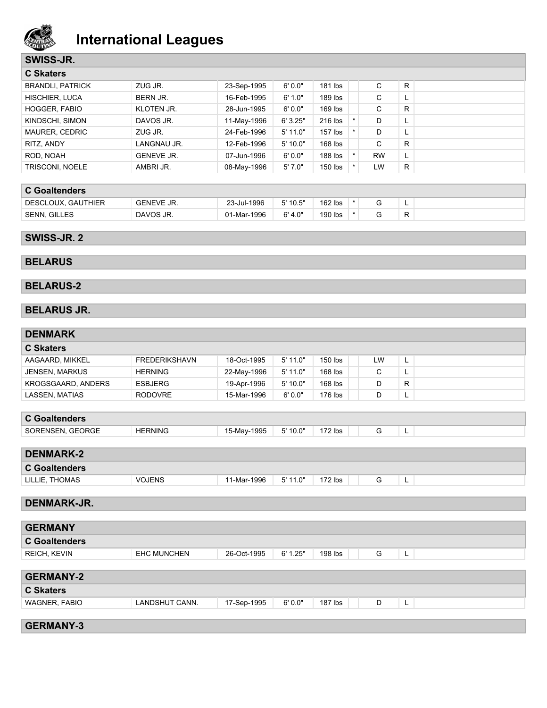

### **SWISS-JR.**

| <b>C</b> Skaters        |                   |             |            |           |           |          |  |
|-------------------------|-------------------|-------------|------------|-----------|-----------|----------|--|
| <b>BRANDLI, PATRICK</b> | ZUG JR.           | 23-Sep-1995 | 6'0.0"     | 181 lbs   | C         | R.       |  |
| HISCHIER, LUCA          | BERN JR.          | 16-Feb-1995 | 6' 1.0"    | 189 lbs   | C         | ц.       |  |
| <b>HOGGER, FABIO</b>    | <b>KLOTEN JR.</b> | 28-Jun-1995 | 6'0.0"     | 169 lbs   | C         | R.       |  |
| KINDSCHI, SIMON         | DAVOS JR.         | 11-May-1996 | 6'3.25"    | 216 lbs   | D         | ш.       |  |
| MAURER, CEDRIC          | ZUG JR.           | 24-Feb-1996 | $5'$ 11.0" | $157$ lbs | D         | <u>.</u> |  |
| RITZ, ANDY              | LANGNAU JR.       | 12-Feb-1996 | 5'10.0"    | 168 lbs   | C         | R.       |  |
| ROD, NOAH               | <b>GENEVE JR.</b> | 07-Jun-1996 | 6'0.0"     | 188 lbs   | <b>RW</b> | L.       |  |
| TRISCONI, NOELE         | AMBRIJR.          | 08-May-1996 | 5'7.0"     | 150 lbs   | LW        | R.       |  |

|  |  |  | <b>C</b> Goaltenders |
|--|--|--|----------------------|
|--|--|--|----------------------|

| DESCLOUX,<br>. GAUTHIER | <b>GENEVE JR.</b> | 23-Jul-1996 | 5' 10.5" | $162$ lbs |  |  |
|-------------------------|-------------------|-------------|----------|-----------|--|--|
| <b>SENN, GILLES</b>     | DAVOS JR.         | 01-Mar-1996 | 6' 4.0"  | 190 lbs   |  |  |

### **SWISS-JR. 2**

### **BELARUS**

### **BELARUS-2**

#### **BELARUS JR.**

| <b>DENMARK</b>        |                      |             |          |           |    |              |  |
|-----------------------|----------------------|-------------|----------|-----------|----|--------------|--|
| <b>C Skaters</b>      |                      |             |          |           |    |              |  |
| AAGAARD, MIKKEL       | <b>FREDERIKSHAVN</b> | 18-Oct-1995 | 5' 11.0" | 150 lbs   | LW | L            |  |
| <b>JENSEN, MARKUS</b> | <b>HERNING</b>       | 22-May-1996 | 5' 11.0" | 168 lbs   | C  | L            |  |
| KROGSGAARD, ANDERS    | <b>ESBJERG</b>       | 19-Apr-1996 | 5' 10.0" | 168 lbs   | D  | $\mathsf{R}$ |  |
| <b>LASSEN, MATIAS</b> | <b>RODOVRE</b>       | 15-Mar-1996 | 6'0.0"   | 176 lbs   | D  | L            |  |
|                       |                      |             |          |           |    |              |  |
| <b>C</b> Goaltenders  |                      |             |          |           |    |              |  |
| SORENSEN, GEORGE      | <b>HERNING</b>       | 15-May-1995 | 5' 10.0" | $172$ lbs | G  | L            |  |
|                       |                      |             |          |           |    |              |  |
| <b>DENMARK-2</b>      |                      |             |          |           |    |              |  |
| <b>C</b> Goaltenders  |                      |             |          |           |    |              |  |
| LILLIE, THOMAS        | <b>VOJENS</b>        | 11-Mar-1996 | 5' 11.0" | $172$ lbs | G  | L            |  |
|                       |                      |             |          |           |    |              |  |
| <b>DENMARK-JR.</b>    |                      |             |          |           |    |              |  |
|                       |                      |             |          |           |    |              |  |
| <b>GERMANY</b>        |                      |             |          |           |    |              |  |
| <b>C</b> Goaltenders  |                      |             |          |           |    |              |  |
| REICH, KEVIN          | <b>EHC MUNCHEN</b>   | 26-Oct-1995 | 6' 1.25" | 198 lbs   | G  | L            |  |
|                       |                      |             |          |           |    |              |  |
| <b>GERMANY-2</b>      |                      |             |          |           |    |              |  |
| <b>C Skaters</b>      |                      |             |          |           |    |              |  |
| WAGNER, FABIO         | LANDSHUT CANN.       | 17-Sep-1995 | 6'0.0"   | $187$ lbs | D  | L            |  |
|                       |                      |             |          |           |    |              |  |
| <b>GERMANY-3</b>      |                      |             |          |           |    |              |  |